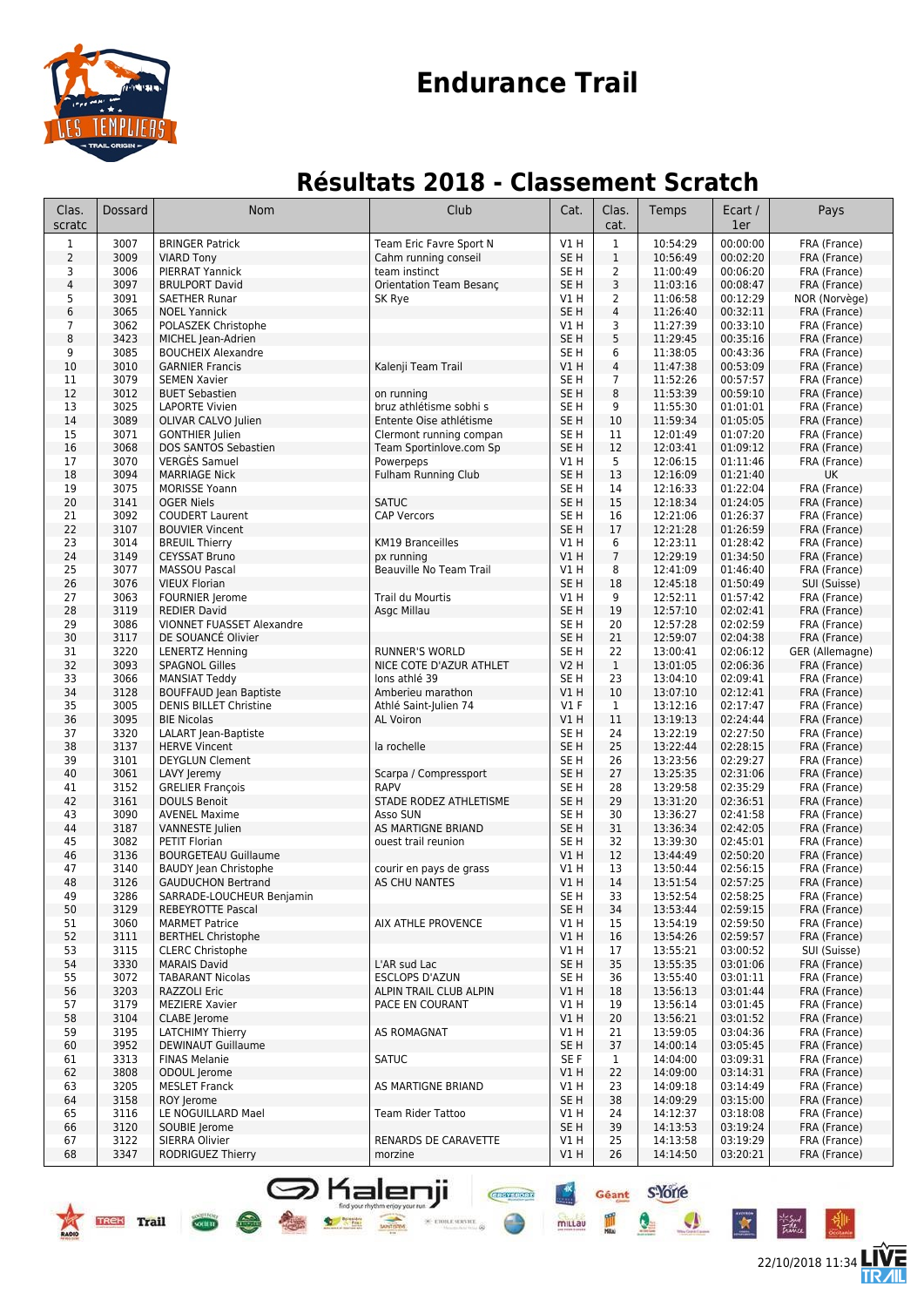

### **Endurance Trail**

#### **Résultats 2018 - Classement Scratch**

| Clas.<br>scratc         | Dossard      | Nom                                                         | Club                                               | Cat.                               | Clas.<br>cat.  | Temps                | Ecart /<br>1er       | Pays                            |
|-------------------------|--------------|-------------------------------------------------------------|----------------------------------------------------|------------------------------------|----------------|----------------------|----------------------|---------------------------------|
| $\mathbf{1}$            | 3007         | <b>BRINGER Patrick</b>                                      | Team Eric Favre Sport N                            | V1H                                | $\mathbf 1$    | 10:54:29             | 00:00:00             | FRA (France)                    |
| $\overline{2}$          | 3009         | <b>VIARD Tony</b>                                           | Cahm running conseil                               | SE H                               | $1\,$          | 10:56:49             | 00:02:20             | FRA (France)                    |
| 3                       | 3006         | PIERRAT Yannick                                             | team instinct                                      | SE H                               | $\overline{2}$ | 11:00:49             | 00:06:20             | FRA (France)                    |
| $\overline{\mathbf{4}}$ | 3097         | <b>BRULPORT David</b>                                       | Orientation Team Besanc                            | SE <sub>H</sub>                    | 3              | 11:03:16             | 00:08:47             | FRA (France)                    |
| 5<br>6                  | 3091<br>3065 | <b>SAETHER Runar</b>                                        | SK Rye                                             | V1H<br>SE <sub>H</sub>             | $\overline{2}$ | 11:06:58             | 00:12:29             | NOR (Norvège)                   |
| 7                       | 3062         | <b>NOEL Yannick</b><br>POLASZEK Christophe                  |                                                    | V1 H                               | 4<br>3         | 11:26:40<br>11:27:39 | 00:32:11<br>00:33:10 | FRA (France)<br>FRA (France)    |
| 8                       | 3423         | MICHEL Jean-Adrien                                          |                                                    | SE <sub>H</sub>                    | 5              | 11:29:45             | 00:35:16             | FRA (France)                    |
| 9                       | 3085         | <b>BOUCHEIX Alexandre</b>                                   |                                                    | SE <sub>H</sub>                    | 6              | 11:38:05             | 00:43:36             | FRA (France)                    |
| 10                      | 3010         | <b>GARNIER Francis</b>                                      | Kalenji Team Trail                                 | V1H                                | $\overline{4}$ | 11:47:38             | 00:53:09             | FRA (France)                    |
| 11                      | 3079         | <b>SEMEN Xavier</b>                                         |                                                    | SE <sub>H</sub>                    | 7              | 11:52:26             | 00:57:57             | FRA (France)                    |
| 12                      | 3012         | <b>BUET Sebastien</b>                                       | on running                                         | SE <sub>H</sub>                    | 8              | 11:53:39             | 00:59:10             | FRA (France)                    |
| 13<br>14                | 3025<br>3089 | <b>LAPORTE Vivien</b><br>OLIVAR CALVO Julien                | bruz athlétisme sobhi s<br>Entente Oise athlétisme | SE H<br>SE <sub>H</sub>            | 9<br>10        | 11:55:30<br>11:59:34 | 01:01:01<br>01:05:05 | FRA (France)<br>FRA (France)    |
| 15                      | 3071         | <b>GONTHIER Julien</b>                                      | Clermont running compan                            | SE H                               | 11             | 12:01:49             | 01:07:20             | FRA (France)                    |
| 16                      | 3068         | DOS SANTOS Sebastien                                        | Team Sportinlove.com Sp                            | SE <sub>H</sub>                    | 12             | 12:03:41             | 01:09:12             | FRA (France)                    |
| 17                      | 3070         | <b>VERGES Samuel</b>                                        | Powerpeps                                          | V1 H                               | 5              | 12:06:15             | 01:11:46             | FRA (France)                    |
| 18                      | 3094         | <b>MARRIAGE Nick</b>                                        | <b>Fulham Running Club</b>                         | SE <sub>H</sub>                    | 13             | 12:16:09             | 01:21:40             | UK                              |
| 19                      | 3075         | <b>MORISSE Yoann</b>                                        |                                                    | SE <sub>H</sub>                    | 14             | 12:16:33             | 01:22:04             | FRA (France)                    |
| 20                      | 3141         | <b>OGER Niels</b>                                           | <b>SATUC</b>                                       | SE <sub>H</sub>                    | 15             | 12:18:34             | 01:24:05             | FRA (France)                    |
| 21<br>22                | 3092<br>3107 | <b>COUDERT Laurent</b>                                      | <b>CAP Vercors</b>                                 | SE <sub>H</sub><br>SE <sub>H</sub> | 16<br>17       | 12:21:06<br>12:21:28 | 01:26:37<br>01:26:59 | FRA (France)                    |
| 23                      | 3014         | <b>BOUVIER Vincent</b><br><b>BREUIL Thierry</b>             | <b>KM19 Branceilles</b>                            | V1 H                               | 6              | 12:23:11             | 01:28:42             | FRA (France)<br>FRA (France)    |
| 24                      | 3149         | <b>CEYSSAT Bruno</b>                                        | px running                                         | V1H                                | $\overline{7}$ | 12:29:19             | 01:34:50             | FRA (France)                    |
| 25                      | 3077         | <b>MASSOU Pascal</b>                                        | Beauville No Team Trail                            | V1 H                               | 8              | 12:41:09             | 01:46:40             | FRA (France)                    |
| 26                      | 3076         | <b>VIEUX Florian</b>                                        |                                                    | SE H                               | 18             | 12:45:18             | 01:50:49             | SUI (Suisse)                    |
| 27                      | 3063         | <b>FOURNIER Jerome</b>                                      | Trail du Mourtis                                   | V1 H                               | 9              | 12:52:11             | 01:57:42             | FRA (France)                    |
| 28                      | 3119         | <b>REDIER David</b>                                         | Asgc Millau                                        | SE <sub>H</sub>                    | 19             | 12:57:10             | 02:02:41             | FRA (France)                    |
| 29                      | 3086         | VIONNET FUASSET Alexandre<br>DE SOUANCÉ Olivier             |                                                    | SE <sub>H</sub>                    | 20             | 12:57:28             | 02:02:59             | FRA (France)                    |
| 30<br>31                | 3117<br>3220 | <b>LENERTZ Henning</b>                                      | <b>RUNNER'S WORLD</b>                              | SE <sub>H</sub><br>SE <sub>H</sub> | 21<br>22       | 12:59:07<br>13:00:41 | 02:04:38<br>02:06:12 | FRA (France)<br>GER (Allemagne) |
| 32                      | 3093         | <b>SPAGNOL Gilles</b>                                       | NICE COTE D'AZUR ATHLET                            | <b>V2 H</b>                        | $\mathbf{1}$   | 13:01:05             | 02:06:36             | FRA (France)                    |
| 33                      | 3066         | <b>MANSIAT Teddy</b>                                        | lons athlé 39                                      | SE <sub>H</sub>                    | 23             | 13:04:10             | 02:09:41             | FRA (France)                    |
| 34                      | 3128         | <b>BOUFFAUD Jean Baptiste</b>                               | Amberieu marathon                                  | V1H                                | 10             | 13:07:10             | 02:12:41             | FRA (France)                    |
| 35                      | 3005         | <b>DENIS BILLET Christine</b>                               | Athlé Saint-Julien 74                              | $VI$ F                             | $\mathbf{1}$   | 13:12:16             | 02:17:47             | FRA (France)                    |
| 36                      | 3095         | <b>BIE Nicolas</b>                                          | <b>AL Voiron</b>                                   | V1H                                | 11             | 13:19:13             | 02:24:44             | FRA (France)                    |
| 37                      | 3320         | LALART Jean-Baptiste                                        |                                                    | SE H                               | 24             | 13:22:19             | 02:27:50             | FRA (France)                    |
| 38<br>39                | 3137<br>3101 | <b>HERVE Vincent</b><br><b>DEYGLUN Clement</b>              | la rochelle                                        | SE H<br>SE H                       | 25<br>26       | 13:22:44<br>13:23:56 | 02:28:15<br>02:29:27 | FRA (France)<br>FRA (France)    |
| 40                      | 3061         | LAVY Jeremy                                                 | Scarpa / Compressport                              | SE <sub>H</sub>                    | 27             | 13:25:35             | 02:31:06             | FRA (France)                    |
| 41                      | 3152         | <b>GRELIER François</b>                                     | <b>RAPV</b>                                        | SE H                               | 28             | 13:29:58             | 02:35:29             | FRA (France)                    |
| 42                      | 3161         | <b>DOULS Benoit</b>                                         | STADE RODEZ ATHLETISME                             | SE <sub>H</sub>                    | 29             | 13:31:20             | 02:36:51             | FRA (France)                    |
| 43                      | 3090         | <b>AVENEL Maxime</b>                                        | Asso SUN                                           | SE <sub>H</sub>                    | 30             | 13:36:27             | 02:41:58             | FRA (France)                    |
| 44                      | 3187         | <b>VANNESTE Julien</b>                                      | AS MARTIGNE BRIAND                                 | SE <sub>H</sub>                    | 31             | 13:36:34             | 02:42:05             | FRA (France)                    |
| 45                      | 3082<br>3136 | PETIT Florian                                               | ouest trail reunion                                | SE <sub>H</sub><br>V1H             | 32<br>12       | 13:39:30<br>13:44:49 | 02:45:01<br>02:50:20 | FRA (France)<br>FRA (France)    |
| 46<br>47                | 3140         | <b>BOURGETEAU Guillaume</b><br><b>BAUDY Jean Christophe</b> | courir en pays de grass                            | V1H                                | 13             | 13:50:44             | 02:56:15             | FRA (France)                    |
| 48                      | 3126         | <b>GAUDUCHON Bertrand</b>                                   | <b>AS CHU NANTES</b>                               | V1H                                | 14             | 13:51:54             | 02:57:25             | FRA (France)                    |
| 49                      | 3286         | SARRADE-LOUCHEUR Benjamin                                   |                                                    | SE H                               | 33             | 13:52:54             | 02:58:25             | FRA (France)                    |
| 50                      | 3129         | REBEYROTTE Pascal                                           |                                                    | SE H                               | 34             | 13:53:44             | 02:59:15             | FRA (France)                    |
| 51                      | 3060         | <b>MARMET Patrice</b>                                       | AIX ATHLE PROVENCE                                 | V1 H                               | 15             | 13:54:19             | 02:59:50             | FRA (France)                    |
| 52                      | 3111         | <b>BERTHEL Christophe</b>                                   |                                                    | V1H                                | 16             | 13:54:26             | 02:59:57             | FRA (France)                    |
| 53<br>54                | 3115<br>3330 | <b>CLERC Christophe</b><br><b>MARAIS David</b>              | L'AR sud Lac                                       | V1 H<br>SE <sub>H</sub>            | 17<br>35       | 13:55:21<br>13:55:35 | 03:00:52             | SUI (Suisse)<br>FRA (France)    |
| 55                      | 3072         | <b>TABARANT Nicolas</b>                                     | <b>ESCLOPS D'AZUN</b>                              | SE H                               | 36             | 13:55:40             | 03:01:06<br>03:01:11 | FRA (France)                    |
| 56                      | 3203         | RAZZOLI Eric                                                | ALPIN TRAIL CLUB ALPIN                             | V1H                                | 18             | 13:56:13             | 03:01:44             | FRA (France)                    |
| 57                      | 3179         | <b>MEZIERE Xavier</b>                                       | PACE EN COURANT                                    | V1 H                               | 19             | 13:56:14             | 03:01:45             | FRA (France)                    |
| 58                      | 3104         | CLABE Jerome                                                |                                                    | V1H                                | 20             | 13:56:21             | 03:01:52             | FRA (France)                    |
| 59                      | 3195         | <b>LATCHIMY Thierry</b>                                     | AS ROMAGNAT                                        | V1H                                | 21             | 13:59:05             | 03:04:36             | FRA (France)                    |
| 60                      | 3952         | <b>DEWINAUT Guillaume</b>                                   |                                                    | SE H                               | 37             | 14:00:14             | 03:05:45             | FRA (France)                    |
| 61                      | 3313         | <b>FINAS Melanie</b><br>ODOUL Jerome                        | <b>SATUC</b>                                       | SE F                               | $\mathbf{1}$   | 14:04:00             | 03:09:31<br>03:14:31 | FRA (France)                    |
| 62<br>63                | 3808<br>3205 | <b>MESLET Franck</b>                                        | AS MARTIGNE BRIAND                                 | V1 H<br>V1H                        | 22<br>23       | 14:09:00<br>14:09:18 | 03:14:49             | FRA (France)<br>FRA (France)    |
| 64                      | 3158         | ROY Jerome                                                  |                                                    | SE H                               | 38             | 14:09:29             | 03:15:00             | FRA (France)                    |
| 65                      | 3116         | LE NOGUILLARD Mael                                          | <b>Team Rider Tattoo</b>                           | V1 H                               | 24             | 14:12:37             | 03:18:08             | FRA (France)                    |
| 66                      | 3120         | SOUBIE Jerome                                               |                                                    | SE <sub>H</sub>                    | 39             | 14:13:53             | 03:19:24             | FRA (France)                    |
| 67                      | 3122         | SIERRA Olivier                                              | RENARDS DE CARAVETTE                               | V1 H                               | 25             | 14:13:58             | 03:19:29             | FRA (France)                    |
| 68                      | 3347         | RODRIGUEZ Thierry                                           | morzine                                            | V1H                                | 26             | 14:14:50             | 03:20:21             | FRA (France)                    |

**S** Kalenji

**RESERVE DE LA CONSTRUCTION DE LA CONSTRUCTION DE LA CONSTRUCTION DE LA CONSTRUCTION DE LA CONSTRUCTION DE LA CONSTRUCTION DE LA CONSTRUCTION DE LA CONSTRUCTION DE LA CONSTRUCTION DE LA CONSTRUCTION DE LA CONSTRUCTION DE L** 

TREK Trail Com



后

Géant S'Yorre

mittau D

 $\bullet$ 

 $\mathbf{r}$ 

**CHOTELORS** 

 $\%$  error experts  $\omega$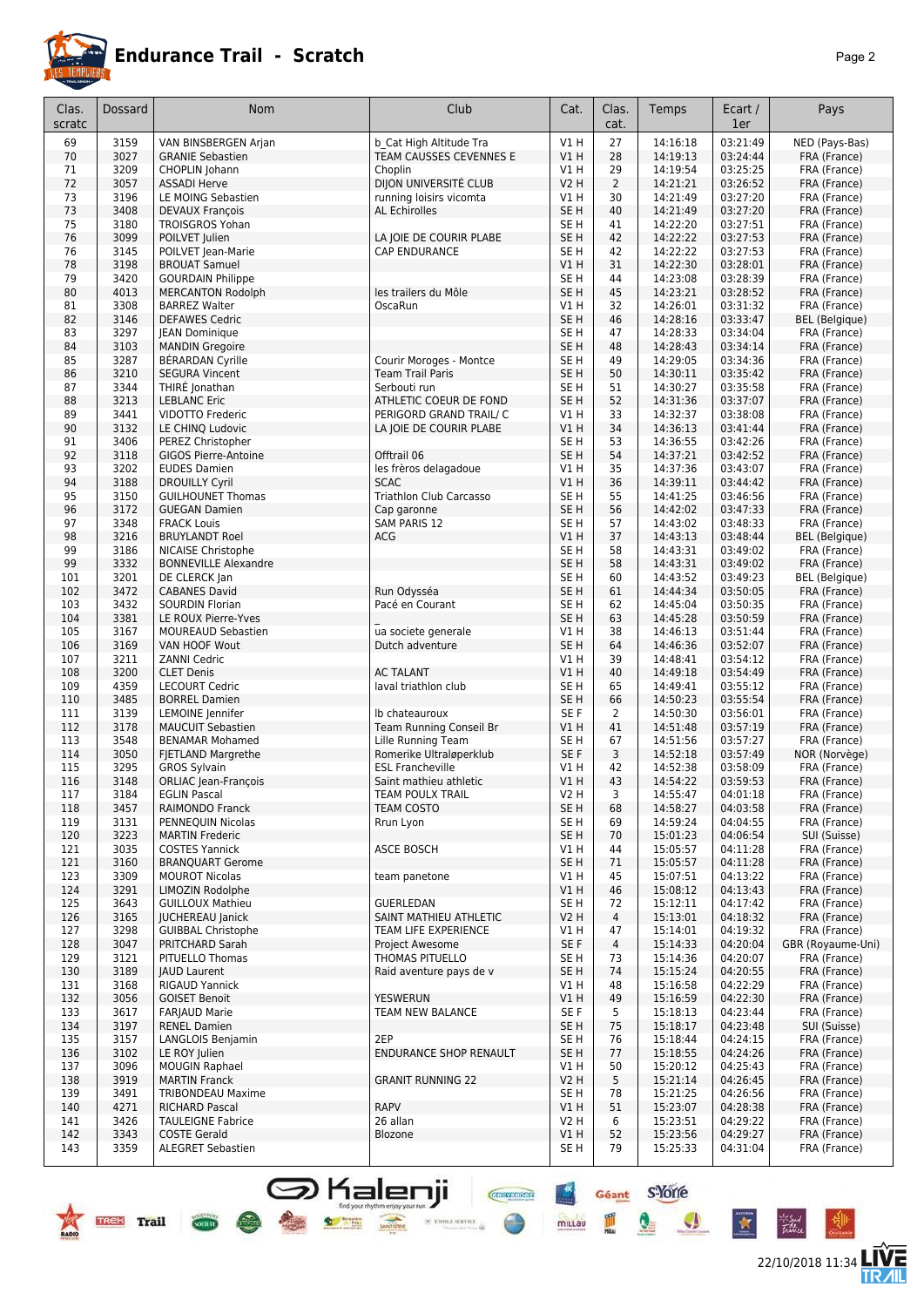

|--|--|

| Clas.<br>scratc | Dossard      | Nom                                                | Club                                            | Cat.                               | Clas.<br>cat.        | Temps                | Ecart /<br>1er       | Pays                         |
|-----------------|--------------|----------------------------------------------------|-------------------------------------------------|------------------------------------|----------------------|----------------------|----------------------|------------------------------|
| 69              | 3159         | VAN BINSBERGEN Arjan                               | b Cat High Altitude Tra                         | V1H                                | 27                   | 14:16:18             | 03:21:49             | NED (Pays-Bas)               |
| 70              | 3027         | <b>GRANIE Sebastien</b>                            | TEAM CAUSSES CEVENNES E                         | V1H                                | 28                   | 14:19:13             | 03:24:44             | FRA (France)                 |
| 71              | 3209         | CHOPLIN Johann                                     | Choplin                                         | V1 H                               | 29                   | 14:19:54             | 03:25:25             | FRA (France)                 |
| 72              | 3057         | <b>ASSADI Herve</b>                                | DIJON UNIVERSITÉ CLUB                           | <b>V2 H</b>                        | $\overline{2}$       | 14:21:21             | 03:26:52             | FRA (France)                 |
| 73<br>73        | 3196<br>3408 | LE MOING Sebastien<br><b>DEVAUX François</b>       | running loisirs vicomta<br><b>AL Echirolles</b> | V1H<br>SE <sub>H</sub>             | 30<br>40             | 14:21:49<br>14:21:49 | 03:27:20<br>03:27:20 | FRA (France)<br>FRA (France) |
| 75              | 3180         | <b>TROISGROS Yohan</b>                             |                                                 | SE <sub>H</sub>                    | 41                   | 14:22:20             | 03:27:51             | FRA (France)                 |
| 76              | 3099         | POILVET Julien                                     | LA JOIE DE COURIR PLABE                         | SE <sub>H</sub>                    | 42                   | 14:22:22             | 03:27:53             | FRA (France)                 |
| 76              | 3145         | POILVET Jean-Marie                                 | <b>CAP ENDURANCE</b>                            | SE <sub>H</sub>                    | 42                   | 14:22:22             | 03:27:53             | FRA (France)                 |
| 78              | 3198         | <b>BROUAT Samuel</b>                               |                                                 | V1 H                               | 31                   | 14:22:30             | 03:28:01             | FRA (France)                 |
| 79              | 3420         | <b>GOURDAIN Philippe</b>                           |                                                 | SE <sub>H</sub>                    | 44                   | 14:23:08             | 03:28:39             | FRA (France)                 |
| 80              | 4013         | <b>MERCANTON Rodolph</b>                           | les trailers du Môle                            | SE <sub>H</sub>                    | 45                   | 14:23:21             | 03:28:52             | FRA (France)                 |
| 81              | 3308         | <b>BARREZ Walter</b>                               | OscaRun                                         | V1H                                | 32                   | 14:26:01             | 03:31:32             | FRA (France)                 |
| 82              | 3146         | <b>DEFAWES Cedric</b>                              |                                                 | SE <sub>H</sub>                    | 46                   | 14:28:16             | 03:33:47             | <b>BEL</b> (Belgique)        |
| 83<br>84        | 3297<br>3103 | JEAN Dominique<br><b>MANDIN Gregoire</b>           |                                                 | SE H<br>SE <sub>H</sub>            | 47<br>48             | 14:28:33<br>14:28:43 | 03:34:04<br>03:34:14 | FRA (France)<br>FRA (France) |
| 85              | 3287         | BÉRARDAN Cyrille                                   | Courir Moroges - Montce                         | SE <sub>H</sub>                    | 49                   | 14:29:05             | 03:34:36             | FRA (France)                 |
| 86              | 3210         | <b>SEGURA Vincent</b>                              | <b>Team Trail Paris</b>                         | SE <sub>H</sub>                    | 50                   | 14:30:11             | 03:35:42             | FRA (France)                 |
| 87              | 3344         | THIRÉ Jonathan                                     | Serbouti run                                    | SE <sub>H</sub>                    | 51                   | 14:30:27             | 03:35:58             | FRA (France)                 |
| 88              | 3213         | <b>LEBLANC Eric</b>                                | ATHLETIC COEUR DE FOND                          | SE <sub>H</sub>                    | 52                   | 14:31:36             | 03:37:07             | FRA (France)                 |
| 89              | 3441         | VIDOTTO Frederic                                   | PERIGORD GRAND TRAIL/ C                         | V1 H                               | 33                   | 14:32:37             | 03:38:08             | FRA (France)                 |
| 90              | 3132         | LE CHINQ Ludovic                                   | LA JOIE DE COURIR PLABE                         | V1H                                | 34                   | 14:36:13             | 03:41:44             | FRA (France)                 |
| 91              | 3406         | PEREZ Christopher                                  |                                                 | SE <sub>H</sub>                    | 53                   | 14:36:55             | 03:42:26             | FRA (France)                 |
| 92<br>93        | 3118<br>3202 | <b>GIGOS Pierre-Antoine</b><br><b>EUDES Damien</b> | Offtrail 06<br>les frèros delagadoue            | SE <sub>H</sub><br>V1H             | 54<br>35             | 14:37:21<br>14:37:36 | 03:42:52<br>03:43:07 | FRA (France)<br>FRA (France) |
| 94              | 3188         | <b>DROUILLY Cyril</b>                              | <b>SCAC</b>                                     | <b>V1 H</b>                        | 36                   | 14:39:11             | 03:44:42             | FRA (France)                 |
| 95              | 3150         | <b>GUILHOUNET Thomas</b>                           | Triathlon Club Carcasso                         | SE H                               | 55                   | 14:41:25             | 03:46:56             | FRA (France)                 |
| 96              | 3172         | <b>GUEGAN Damien</b>                               | Cap garonne                                     | SE <sub>H</sub>                    | 56                   | 14:42:02             | 03:47:33             | FRA (France)                 |
| 97              | 3348         | <b>FRACK Louis</b>                                 | <b>SAM PARIS 12</b>                             | SE <sub>H</sub>                    | 57                   | 14:43:02             | 03:48:33             | FRA (France)                 |
| 98              | 3216         | <b>BRUYLANDT Roel</b>                              | ACG                                             | V1H                                | 37                   | 14:43:13             | 03:48:44             | <b>BEL</b> (Belgique)        |
| 99              | 3186         | NICAISE Christophe                                 |                                                 | SE <sub>H</sub>                    | 58                   | 14:43:31             | 03:49:02             | FRA (France)                 |
| 99              | 3332         | <b>BONNEVILLE Alexandre</b>                        |                                                 | SE <sub>H</sub>                    | 58                   | 14:43:31             | 03:49:02             | FRA (France)                 |
| 101             | 3201         | DE CLERCK Jan                                      |                                                 | SE H                               | 60                   | 14:43:52             | 03:49:23             | BEL (Belgique)               |
| 102<br>103      | 3472<br>3432 | <b>CABANES David</b><br><b>SOURDIN Florian</b>     | Run Odysséa<br>Pacé en Courant                  | SE <sub>H</sub><br>SE <sub>H</sub> | 61<br>62             | 14:44:34<br>14:45:04 | 03:50:05<br>03:50:35 | FRA (France)<br>FRA (France) |
| 104             | 3381         | LE ROUX Pierre-Yves                                |                                                 | SE <sub>H</sub>                    | 63                   | 14:45:28             | 03:50:59             | FRA (France)                 |
| 105             | 3167         | <b>MOUREAUD Sebastien</b>                          | ua societe generale                             | V1H                                | 38                   | 14:46:13             | 03:51:44             | FRA (France)                 |
| 106             | 3169         | VAN HOOF Wout                                      | Dutch adventure                                 | SE <sub>H</sub>                    | 64                   | 14:46:36             | 03:52:07             | FRA (France)                 |
| 107             | 3211         | <b>ZANNI Cedric</b>                                |                                                 | V1H                                | 39                   | 14:48:41             | 03:54:12             | FRA (France)                 |
| 108             | 3200         | <b>CLET Denis</b>                                  | <b>AC TALANT</b>                                | V1 H                               | 40                   | 14:49:18             | 03:54:49             | FRA (France)                 |
| 109             | 4359         | <b>LECOURT Cedric</b>                              | laval triathlon club                            | SE <sub>H</sub>                    | 65                   | 14:49:41             | 03:55:12             | FRA (France)                 |
| 110             | 3485         | <b>BORREL Damien</b>                               |                                                 | SE <sub>H</sub>                    | 66                   | 14:50:23             | 03:55:54             | FRA (France)                 |
| 111             | 3139<br>3178 | LEMOINE Jennifer<br><b>MAUCUIT Sebastien</b>       | Ib chateauroux<br>Team Running Conseil Br       | SE F<br>V1 H                       | $\overline{2}$<br>41 | 14:50:30<br>14:51:48 | 03:56:01<br>03:57:19 | FRA (France)<br>FRA (France) |
| 112<br>113      | 3548         | <b>BENAMAR Mohamed</b>                             | Lille Running Team                              | SE H                               | 67                   | 14:51:56             | 03:57:27             | FRA (France)                 |
| 114             | 3050         | FJETLAND Margrethe                                 | Romerike Ultraløperklub                         | SE F                               | 3                    | 14:52:18             | 03:57:49             | NOR (Norvège)                |
| 115             | 3295         | <b>GROS Sylvain</b>                                | <b>ESL Francheville</b>                         | V1 H                               | 42                   | 14:52:38             | 03:58:09             | FRA (France)                 |
| 116             | 3148         | ORLIAC Jean-François                               | Saint mathieu athletic                          | V1H                                | 43                   | 14:54:22             | 03:59:53             | FRA (France)                 |
| 11/             | 3184         | EGLIN Pascal                                       | TEAM POULX TRAIL                                | V2 H                               | 3                    | 14:55:47             | 04:01:18             | FRA (France)                 |
| 118             | 3457         | RAIMONDO Franck                                    | <b>TEAM COSTO</b>                               | SE <sub>H</sub>                    | 68                   | 14:58:27             | 04:03:58             | FRA (France)                 |
| 119             | 3131         | PENNEQUIN Nicolas                                  | Rrun Lyon                                       | SE <sub>H</sub>                    | 69                   | 14:59:24             | 04:04:55             | FRA (France)                 |
| 120             | 3223<br>3035 | <b>MARTIN Frederic</b>                             | ASCE BOSCH                                      | SE <sub>H</sub>                    | 70                   | 15:01:23<br>15:05:57 | 04:06:54<br>04:11:28 | SUI (Suisse)                 |
| 121<br>121      | 3160         | <b>COSTES Yannick</b><br><b>BRANQUART Gerome</b>   |                                                 | V1 H<br>SE <sub>H</sub>            | 44<br>71             | 15:05:57             | 04:11:28             | FRA (France)<br>FRA (France) |
| 123             | 3309         | <b>MOUROT Nicolas</b>                              | team panetone                                   | V1 H                               | 45                   | 15:07:51             | 04:13:22             | FRA (France)                 |
| 124             | 3291         | LIMOZIN Rodolphe                                   |                                                 | V1H                                | 46                   | 15:08:12             | 04:13:43             | FRA (France)                 |
| 125             | 3643         | <b>GUILLOUX Mathieu</b>                            | <b>GUERLEDAN</b>                                | SE H                               | 72                   | 15:12:11             | 04:17:42             | FRA (France)                 |
| 126             | 3165         | <b>JUCHEREAU Janick</b>                            | SAINT MATHIEU ATHLETIC                          | V <sub>2</sub> H                   | $\overline{4}$       | 15:13:01             | 04:18:32             | FRA (France)                 |
| 127             | 3298         | <b>GUIBBAL Christophe</b>                          | TEAM LIFE EXPERIENCE                            | V1 H                               | 47                   | 15:14:01             | 04:19:32             | FRA (France)                 |
| 128             | 3047         | PRITCHARD Sarah                                    | <b>Project Awesome</b>                          | SE F                               | $\overline{4}$       | 15:14:33             | 04:20:04             | GBR (Royaume-Uni)            |
| 129             | 3121         | <b>PITUELLO Thomas</b>                             | THOMAS PITUELLO                                 | SE H                               | 73                   | 15:14:36             | 04:20:07             | FRA (France)                 |
| 130<br>131      | 3189<br>3168 | <b>JAUD Laurent</b><br><b>RIGAUD Yannick</b>       | Raid aventure pays de v                         | SE <sub>H</sub><br>V1 H            | 74<br>48             | 15:15:24<br>15:16:58 | 04:20:55<br>04:22:29 | FRA (France)<br>FRA (France) |
| 132             | 3056         | <b>GOISET Benoit</b>                               | <b>YESWERUN</b>                                 | V1H                                | 49                   | 15:16:59             | 04:22:30             | FRA (France)                 |
| 133             | 3617         | <b>FARJAUD Marie</b>                               | TEAM NEW BALANCE                                | SE F                               | 5                    | 15:18:13             | 04:23:44             | FRA (France)                 |
| 134             | 3197         | <b>RENEL Damien</b>                                |                                                 | SE <sub>H</sub>                    | 75                   | 15:18:17             | 04:23:48             | SUI (Suisse)                 |
| 135             | 3157         | LANGLOIS Benjamin                                  | 2EP                                             | SE <sub>H</sub>                    | 76                   | 15:18:44             | 04:24:15             | FRA (France)                 |
| 136             | 3102         | LE ROY Julien                                      | <b>ENDURANCE SHOP RENAULT</b>                   | SE <sub>H</sub>                    | 77                   | 15:18:55             | 04:24:26             | FRA (France)                 |
| 137             | 3096         | <b>MOUGIN Raphael</b>                              |                                                 | V1 H                               | 50                   | 15:20:12             | 04:25:43             | FRA (France)                 |
| 138             | 3919         | <b>MARTIN Franck</b>                               | <b>GRANIT RUNNING 22</b>                        | <b>V2 H</b>                        | 5                    | 15:21:14             | 04:26:45             | FRA (France)                 |
| 139<br>140      | 3491<br>4271 | <b>TRIBONDEAU Maxime</b><br><b>RICHARD Pascal</b>  | <b>RAPV</b>                                     | SE H<br>V1H                        | 78<br>51             | 15:21:25<br>15:23:07 | 04:26:56<br>04:28:38 | FRA (France)<br>FRA (France) |
| 141             | 3426         | <b>TAULEIGNE Fabrice</b>                           | 26 allan                                        | V2 H                               | 6                    | 15:23:51             | 04:29:22             | FRA (France)                 |
| 142             | 3343         | <b>COSTE Gerald</b>                                | Blozone                                         | VIH                                | 52                   | 15:23:56             | 04:29:27             | FRA (France)                 |
| 143             | 3359         | <b>ALEGRET Sebastien</b>                           |                                                 | SE H                               | 79                   | 15:25:33             | 04:31:04             | FRA (France)                 |
|                 |              |                                                    |                                                 |                                    |                      |                      |                      |                              |

SHalenji **Geant** SYOTE

TREE Trail Com RADIO

22/10/2018 11:34 **TWE** 

 $\frac{1}{k}$ 

 $\bullet$ 

X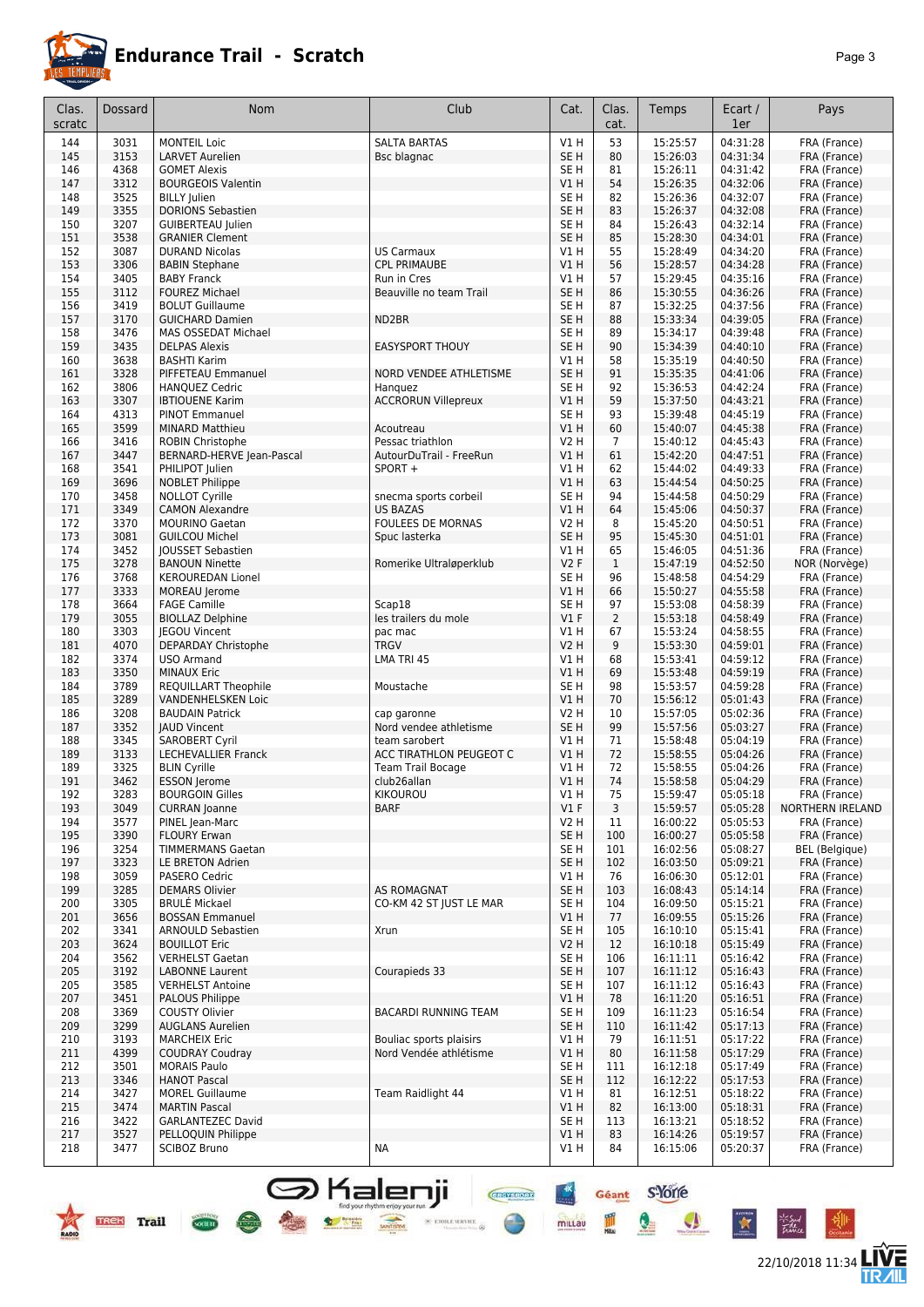

| ъ |  |
|---|--|
|---|--|

| Clas.<br>scratc | Dossard      | <b>Nom</b>                                           | Club                                    | Cat.                               | Clas.<br>cat.        | Temps                | Ecart /<br>1er       | Pays                                  |
|-----------------|--------------|------------------------------------------------------|-----------------------------------------|------------------------------------|----------------------|----------------------|----------------------|---------------------------------------|
| 144             | 3031         | <b>MONTEIL Loic</b>                                  | <b>SALTA BARTAS</b>                     | V1H                                | 53                   | 15:25:57             | 04:31:28             | FRA (France)                          |
| 145             | 3153         | <b>LARVET Aurelien</b>                               | Bsc blagnac                             | SE <sub>H</sub>                    | 80                   | 15:26:03             | 04:31:34             | FRA (France)                          |
| 146             | 4368         | <b>GOMET Alexis</b>                                  |                                         | SE <sub>H</sub>                    | 81                   | 15:26:11             | 04:31:42             | FRA (France)                          |
| 147             | 3312         | <b>BOURGEOIS Valentin</b>                            |                                         | VIH                                | 54                   | 15:26:35             | 04:32:06             | FRA (France)                          |
| 148             | 3525<br>3355 | <b>BILLY Iulien</b>                                  |                                         | SE <sub>H</sub><br>SE <sub>H</sub> | 82<br>83             | 15:26:36             | 04:32:07             | FRA (France)                          |
| 149<br>150      | 3207         | <b>DORIONS Sebastien</b><br><b>GUIBERTEAU Julien</b> |                                         | SE <sub>H</sub>                    | 84                   | 15:26:37<br>15:26:43 | 04:32:08<br>04:32:14 | FRA (France)<br>FRA (France)          |
| 151             | 3538         | <b>GRANIER Clement</b>                               |                                         | SE <sub>H</sub>                    | 85                   | 15:28:30             | 04:34:01             | FRA (France)                          |
| 152             | 3087         | <b>DURAND Nicolas</b>                                | <b>US Carmaux</b>                       | V1 H                               | 55                   | 15:28:49             | 04:34:20             | FRA (France)                          |
| 153             | 3306         | <b>BABIN Stephane</b>                                | <b>CPL PRIMAUBE</b>                     | V1H                                | 56                   | 15:28:57             | 04:34:28             | FRA (France)                          |
| 154             | 3405         | <b>BABY Franck</b>                                   | Run in Cres                             | V1 H                               | 57                   | 15:29:45             | 04:35:16             | FRA (France)                          |
| 155             | 3112         | <b>FOUREZ Michael</b>                                | Beauville no team Trail                 | SE <sub>H</sub>                    | 86                   | 15:30:55             | 04:36:26             | FRA (France)                          |
| 156             | 3419         | <b>BOLUT Guillaume</b>                               |                                         | SE <sub>H</sub>                    | 87                   | 15:32:25             | 04:37:56             | FRA (France)                          |
| 157             | 3170         | <b>GUICHARD Damien</b>                               | ND2BR                                   | SE <sub>H</sub>                    | 88                   | 15:33:34             | 04:39:05             | FRA (France)                          |
| 158             | 3476         | MAS OSSEDAT Michael                                  |                                         | SE <sub>H</sub>                    | 89<br>90             | 15:34:17             | 04:39:48             | FRA (France)                          |
| 159<br>160      | 3435<br>3638 | <b>DELPAS Alexis</b><br><b>BASHTI Karim</b>          | <b>EASYSPORT THOUY</b>                  | SE <sub>H</sub><br>V1 H            | 58                   | 15:34:39<br>15:35:19 | 04:40:10<br>04:40:50 | FRA (France)<br>FRA (France)          |
| 161             | 3328         | PIFFETEAU Emmanuel                                   | <b>NORD VENDEE ATHLETISME</b>           | SE <sub>H</sub>                    | 91                   | 15:35:35             | 04:41:06             | FRA (France)                          |
| 162             | 3806         | <b>HANQUEZ Cedric</b>                                | Hanguez                                 | SE <sub>H</sub>                    | 92                   | 15:36:53             | 04:42:24             | FRA (France)                          |
| 163             | 3307         | <b>IBTIOUENE Karim</b>                               | <b>ACCRORUN Villepreux</b>              | VIH                                | 59                   | 15:37:50             | 04:43:21             | FRA (France)                          |
| 164             | 4313         | <b>PINOT Emmanuel</b>                                |                                         | SE <sub>H</sub>                    | 93                   | 15:39:48             | 04:45:19             | FRA (France)                          |
| 165             | 3599         | <b>MINARD Matthieu</b>                               | Acoutreau                               | V1H                                | 60                   | 15:40:07             | 04:45:38             | FRA (France)                          |
| 166             | 3416         | ROBIN Christophe                                     | Pessac triathlon                        | <b>V2 H</b>                        | $\overline{7}$       | 15:40:12             | 04:45:43             | FRA (France)                          |
| 167             | 3447         | BERNARD-HERVE Jean-Pascal                            | AutourDuTrail - FreeRun                 | V1H                                | 61                   | 15:42:20             | 04:47:51             | FRA (France)                          |
| 168<br>169      | 3541<br>3696 | PHILIPOT Julien<br><b>NOBLET Philippe</b>            | SPORT +                                 | V1H<br>V1H                         | 62<br>63             | 15:44:02             | 04:49:33<br>04:50:25 | FRA (France)<br>FRA (France)          |
| 170             | 3458         | <b>NOLLOT Cyrille</b>                                | snecma sports corbeil                   | SE <sub>H</sub>                    | 94                   | 15:44:54<br>15:44:58 | 04:50:29             | FRA (France)                          |
| 171             | 3349         | <b>CAMON Alexandre</b>                               | <b>US BAZAS</b>                         | VIH                                | 64                   | 15:45:06             | 04:50:37             | FRA (France)                          |
| 172             | 3370         | <b>MOURINO Gaetan</b>                                | <b>FOULEES DE MORNAS</b>                | <b>V2 H</b>                        | 8                    | 15:45:20             | 04:50:51             | FRA (France)                          |
| 173             | 3081         | <b>GUILCOU Michel</b>                                | Spuc lasterka                           | SE <sub>H</sub>                    | 95                   | 15:45:30             | 04:51:01             | FRA (France)                          |
| 174             | 3452         | JOUSSET Sebastien                                    |                                         | V1 H                               | 65                   | 15:46:05             | 04:51:36             | FRA (France)                          |
| 175             | 3278         | <b>BANOUN Ninette</b>                                | Romerike Ultraløperklub                 | V2F                                | $\mathbf{1}$         | 15:47:19             | 04:52:50             | NOR (Norvège)                         |
| 176             | 3768         | <b>KEROUREDAN Lionel</b>                             |                                         | SE <sub>H</sub>                    | 96                   | 15:48:58             | 04:54:29             | FRA (France)                          |
| 177             | 3333         | MOREAU Jerome                                        |                                         | V1H                                | 66                   | 15:50:27             | 04:55:58             | FRA (France)                          |
| 178<br>179      | 3664<br>3055 | <b>FAGE Camille</b><br><b>BIOLLAZ Delphine</b>       | Scap18<br>les trailers du mole          | SE <sub>H</sub><br>$VI$ F          | 97<br>$\overline{2}$ | 15:53:08<br>15:53:18 | 04:58:39<br>04:58:49 | FRA (France)                          |
| 180             | 3303         | <b>IEGOU Vincent</b>                                 | pac mac                                 | V1 H                               | 67                   | 15:53:24             | 04:58:55             | FRA (France)<br>FRA (France)          |
| 181             | 4070         | DEPARDAY Christophe                                  | <b>TRGV</b>                             | <b>V2 H</b>                        | 9                    | 15:53:30             | 04:59:01             | FRA (France)                          |
| 182             | 3374         | <b>USO Armand</b>                                    | LMA TRI 45                              | V1H                                | 68                   | 15:53:41             | 04:59:12             | FRA (France)                          |
| 183             | 3350         | <b>MINAUX Eric</b>                                   |                                         | VIH                                | 69                   | 15:53:48             | 04:59:19             | FRA (France)                          |
| 184             | 3789         | <b>REQUILLART Theophile</b>                          | Moustache                               | SE H                               | 98                   | 15:53:57             | 04:59:28             | FRA (France)                          |
| 185             | 3289         | <b>VANDENHELSKEN Loic</b>                            |                                         | V1 H                               | 70                   | 15:56:12             | 05:01:43             | FRA (France)                          |
| 186             | 3208         | <b>BAUDAIN Patrick</b>                               | cap garonne                             | <b>V2 H</b>                        | 10                   | 15:57:05             | 05:02:36             | FRA (France)                          |
| 187<br>188      | 3352<br>3345 | <b>JAUD Vincent</b><br><b>SAROBERT Cyril</b>         | Nord vendee athletisme<br>team sarobert | SE <sub>H</sub><br>V1 H            | 99<br>71             | 15:57:56<br>15:58:48 | 05:03:27<br>05:04:19 | FRA (France)<br>FRA (France)          |
| 189             | 3133         | <b>LECHEVALLIER Franck</b>                           | ACC TIRATHLON PEUGEOT C                 | V1H                                | 72                   | 15:58:55             | 05:04:26             | FRA (France)                          |
| 189             | 3325         | <b>BLIN Cyrille</b>                                  | <b>Team Trail Bocage</b>                | V1 H                               | 72                   | 15:58:55             | 05:04:26             | FRA (France)                          |
| 191             | 3462         | ESSON Jerome                                         | club26allan                             | VIH                                | 74                   | 15:58:58             | 05:04:29             | FRA (France)                          |
| 192             | 3283         | <b>BOURGOIN Gilles</b>                               | KIKOUROU                                | V1H                                | 75                   | 15:59:47             | 05:05:18             | FRA (France)                          |
| 193             | 3049         | <b>CURRAN</b> Joanne                                 | <b>BARF</b>                             | V1F                                | 3                    | 15:59:57             | 05:05:28             | <b>NORTHERN IRELAND</b>               |
| 194             | 3577         | PINEL Jean-Marc                                      |                                         | V <sub>2</sub> H                   | 11                   | 16:00:22             | 05:05:53             | FRA (France)                          |
| 195             | 3390         | <b>FLOURY Erwan</b>                                  |                                         | SE <sub>H</sub>                    | 100                  | 16:00:27             | 05:05:58             | FRA (France)                          |
| 196<br>197      | 3254<br>3323 | TIMMERMANS Gaetan<br><b>LE BRETON Adrien</b>         |                                         | SE <sub>H</sub><br>SE <sub>H</sub> | 101<br>102           | 16:02:56<br>16:03:50 | 05:08:27<br>05:09:21 | <b>BEL</b> (Belgique)<br>FRA (France) |
| 198             | 3059         | PASERO Cedric                                        |                                         | VIH                                | 76                   | 16:06:30             | 05:12:01             | FRA (France)                          |
| 199             | 3285         | <b>DEMARS Olivier</b>                                | <b>AS ROMAGNAT</b>                      | SE <sub>H</sub>                    | 103                  | 16:08:43             | 05:14:14             | FRA (France)                          |
| 200             | 3305         | <b>BRULÉ Mickael</b>                                 | CO-KM 42 ST JUST LE MAR                 | SE <sub>H</sub>                    | 104                  | 16:09:50             | 05:15:21             | FRA (France)                          |
| 201             | 3656         | <b>BOSSAN Emmanuel</b>                               |                                         | V1H                                | 77                   | 16:09:55             | 05:15:26             | FRA (France)                          |
| 202             | 3341         | ARNOULD Sebastien                                    | Xrun                                    | SE <sub>H</sub>                    | 105                  | 16:10:10             | 05:15:41             | FRA (France)                          |
| 203             | 3624         | <b>BOUILLOT Eric</b>                                 |                                         | V2H                                | 12                   | 16:10:18             | 05:15:49             | FRA (France)                          |
| 204             | 3562         | <b>VERHELST Gaetan</b>                               |                                         | SE <sub>H</sub>                    | 106                  | 16:11:11             | 05:16:42             | FRA (France)                          |
| 205<br>205      | 3192<br>3585 | <b>LABONNE Laurent</b><br><b>VERHELST Antoine</b>    | Courapieds 33                           | SE <sub>H</sub><br>SE <sub>H</sub> | 107<br>107           | 16:11:12<br>16:11:12 | 05:16:43<br>05:16:43 | FRA (France)<br>FRA (France)          |
| 207             | 3451         | PALOUS Philippe                                      |                                         | V1H                                | 78                   | 16:11:20             | 05:16:51             | FRA (France)                          |
| 208             | 3369         | COUSTY Olivier                                       | BACARDI RUNNING TEAM                    | SE <sub>H</sub>                    | 109                  | 16:11:23             | 05:16:54             | FRA (France)                          |
| 209             | 3299         | <b>AUGLANS Aurelien</b>                              |                                         | SE <sub>H</sub>                    | 110                  | 16:11:42             | 05:17:13             | FRA (France)                          |
| 210             | 3193         | <b>MARCHEIX Eric</b>                                 | Bouliac sports plaisirs                 | V1 H                               | 79                   | 16:11:51             | 05:17:22             | FRA (France)                          |
| 211             | 4399         | <b>COUDRAY Coudray</b>                               | Nord Vendée athlétisme                  | V1H                                | 80                   | 16:11:58             | 05:17:29             | FRA (France)                          |
| 212             | 3501         | <b>MORAIS Paulo</b>                                  |                                         | SE <sub>H</sub>                    | 111                  | 16:12:18             | 05:17:49             | FRA (France)                          |
| 213             | 3346         | <b>HANOT Pascal</b>                                  |                                         | SE <sub>H</sub>                    | 112                  | 16:12:22             | 05:17:53             | FRA (France)                          |
| 214<br>215      | 3427<br>3474 | <b>MOREL Guillaume</b><br><b>MARTIN Pascal</b>       | Team Raidlight 44                       | V1 H<br>VIH                        | 81<br>82             | 16:12:51<br>16:13:00 | 05:18:22<br>05:18:31 | FRA (France)<br>FRA (France)          |
| 216             | 3422         | GARLANTEZEC David                                    |                                         | SE <sub>H</sub>                    | 113                  | 16:13:21             | 05:18:52             | FRA (France)                          |
| 217             | 3527         | PELLOQUIN Philippe                                   |                                         | V1H                                | 83                   | 16:14:26             | 05:19:57             | FRA (France)                          |
| 218             | 3477         | SCIBOZ Bruno                                         | NA                                      | V1 H                               | 84                   | 16:15:06             | 05:20:37             | FRA (France)                          |
|                 |              |                                                      |                                         |                                    |                      |                      |                      |                                       |

Signalenji **Grand Structure Structure Contains Contained Structure Contained Contained Contained Contained Contained Contained Contained Contained Contained Contained Contained Contained Contained Contained Contained Conta** 





the family

 $\bullet$ 

 $\overline{\mathbf{x}}$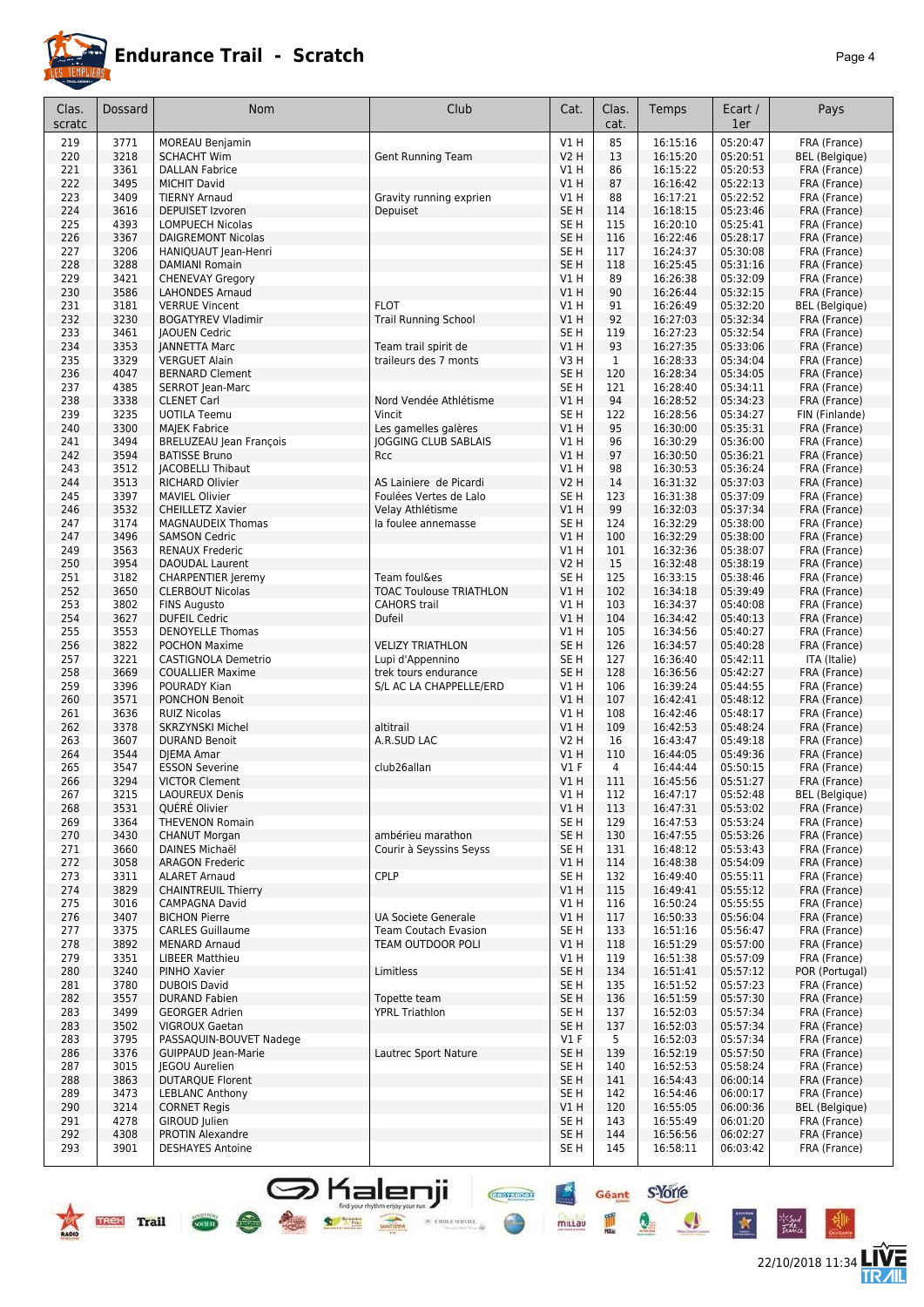

22/10/2018 11:34 **LIVE** 

Géant S-Yorre

Q

 $\bullet$ 

 $\star$ 

 $\frac{1}{2}$ 

mittau

皿

**CHEFFIORE** 

 $\times$  etoile server  $\otimes$ 

| Clas.<br>scratc | Dossard      | Nom                                               | Club                                    | Cat.                               | Clas.<br>cat. | Temps                | Ecart /<br>1er       | Pays                                  |
|-----------------|--------------|---------------------------------------------------|-----------------------------------------|------------------------------------|---------------|----------------------|----------------------|---------------------------------------|
|                 |              |                                                   |                                         |                                    |               |                      |                      |                                       |
| 219             | 3771<br>3218 | <b>MOREAU Benjamin</b><br><b>SCHACHT Wim</b>      |                                         | V1H<br><b>V2 H</b>                 | 85<br>13      | 16:15:16<br>16:15:20 | 05:20:47<br>05:20:51 | FRA (France)                          |
| 220<br>221      | 3361         | <b>DALLAN Fabrice</b>                             | Gent Running Team                       | VIH                                | 86            | 16:15:22             | 05:20:53             | <b>BEL</b> (Belgique)<br>FRA (France) |
| 222             | 3495         | <b>MICHIT David</b>                               |                                         | VIH                                | 87            | 16:16:42             | 05:22:13             | FRA (France)                          |
| 223             | 3409         | <b>TIERNY Arnaud</b>                              | Gravity running exprien                 | <b>V1 H</b>                        | 88            | 16:17:21             | 05:22:52             | FRA (France)                          |
| 224             | 3616         | <b>DEPUISET Izvoren</b>                           | <b>Depuiset</b>                         | SE <sub>H</sub>                    | 114           | 16:18:15             | 05:23:46             | FRA (France)                          |
| 225             | 4393         | <b>LOMPUECH Nicolas</b>                           |                                         | SE <sub>H</sub>                    | 115           | 16:20:10             | 05:25:41             | FRA (France)                          |
| 226             | 3367         | <b>DAIGREMONT Nicolas</b>                         |                                         | SE <sub>H</sub>                    | 116           | 16:22:46             | 05:28:17             | FRA (France)                          |
| 227             | 3206         | HANIQUAUT Jean-Henri                              |                                         | SE <sub>H</sub>                    | 117           | 16:24:37             | 05:30:08             | FRA (France)                          |
| 228<br>229      | 3288<br>3421 | <b>DAMIANI Romain</b><br><b>CHENEVAY Gregory</b>  |                                         | SE <sub>H</sub><br>V1 H            | 118<br>89     | 16:25:45<br>16:26:38 | 05:31:16<br>05:32:09 | FRA (France)<br>FRA (France)          |
| 230             | 3586         | <b>LAHONDES Arnaud</b>                            |                                         | <b>V1 H</b>                        | 90            | 16:26:44             | 05:32:15             | FRA (France)                          |
| 231             | 3181         | <b>VERRUE Vincent</b>                             | <b>FLOT</b>                             | V1 H                               | 91            | 16:26:49             | 05:32:20             | <b>BEL</b> (Belgique)                 |
| 232             | 3230         | <b>BOGATYREV Vladimir</b>                         | <b>Trail Running School</b>             | V1 H                               | 92            | 16:27:03             | 05:32:34             | FRA (France)                          |
| 233             | 3461         | JAOUEN Cedric                                     |                                         | SE <sub>H</sub>                    | 119           | 16:27:23             | 05:32:54             | FRA (France)                          |
| 234             | 3353         | <b>JANNETTA Marc</b>                              | Team trail spirit de                    | V1 H                               | 93            | 16:27:35             | 05:33:06             | FRA (France)                          |
| 235             | 3329         | <b>VERGUET Alain</b>                              | traileurs des 7 monts                   | V3 H                               | $\mathbf{1}$  | 16:28:33             | 05:34:04             | FRA (France)                          |
| 236<br>237      | 4047<br>4385 | <b>BERNARD Clement</b>                            |                                         | SE <sub>H</sub><br>SE <sub>H</sub> | 120<br>121    | 16:28:34             | 05:34:05             | FRA (France)                          |
| 238             | 3338         | SERROT Jean-Marc<br><b>CLENET Carl</b>            | Nord Vendée Athlétisme                  | V1 H                               | 94            | 16:28:40<br>16:28:52 | 05:34:11<br>05:34:23 | FRA (France)<br>FRA (France)          |
| 239             | 3235         | <b>UOTILA Teemu</b>                               | Vincit                                  | SE <sub>H</sub>                    | 122           | 16:28:56             | 05:34:27             | FIN (Finlande)                        |
| 240             | 3300         | <b>MAJEK Fabrice</b>                              | Les gamelles galères                    | V1H                                | 95            | 16:30:00             | 05:35:31             | FRA (France)                          |
| 241             | 3494         | <b>BRELUZEAU Jean François</b>                    | <b>JOGGING CLUB SABLAIS</b>             | V1 H                               | 96            | 16:30:29             | 05:36:00             | FRA (France)                          |
| 242             | 3594         | <b>BATISSE Bruno</b>                              | <b>Rcc</b>                              | VIH                                | 97            | 16:30:50             | 05:36:21             | FRA (France)                          |
| 243             | 3512         | <b>JACOBELLI Thibaut</b>                          |                                         | V1H                                | 98            | 16:30:53             | 05:36:24             | FRA (France)                          |
| 244             | 3513         | <b>RICHARD Olivier</b>                            | AS Lainiere de Picardi                  | V2 H                               | 14            | 16:31:32             | 05:37:03             | FRA (France)                          |
| 245             | 3397         | <b>MAVIEL Olivier</b>                             | Foulées Vertes de Lalo                  | SE H                               | 123           | 16:31:38             | 05:37:09             | FRA (France)                          |
| 246<br>247      | 3532<br>3174 | CHEILLETZ Xavier                                  | Velay Athlétisme<br>la foulee annemasse | V1 H<br>SE H                       | 99<br>124     | 16:32:03<br>16:32:29 | 05:37:34<br>05:38:00 | FRA (France)<br>FRA (France)          |
| 247             | 3496         | <b>MAGNAUDEIX Thomas</b><br><b>SAMSON Cedric</b>  |                                         | <b>V1 H</b>                        | 100           | 16:32:29             | 05:38:00             | FRA (France)                          |
| 249             | 3563         | <b>RENAUX Frederic</b>                            |                                         | V1H                                | 101           | 16:32:36             | 05:38:07             | FRA (France)                          |
| 250             | 3954         | <b>DAOUDAL Laurent</b>                            |                                         | V2 H                               | 15            | 16:32:48             | 05:38:19             | FRA (France)                          |
| 251             | 3182         | <b>CHARPENTIER Jeremy</b>                         | Team foul&es                            | SE H                               | 125           | 16:33:15             | 05:38:46             | FRA (France)                          |
| 252             | 3650         | <b>CLERBOUT Nicolas</b>                           | <b>TOAC Toulouse TRIATHLON</b>          | V1 H                               | 102           | 16:34:18             | 05:39:49             | FRA (France)                          |
| 253             | 3802         | <b>FINS Augusto</b>                               | <b>CAHORS</b> trail                     | V1 H                               | 103           | 16:34:37             | 05:40:08             | FRA (France)                          |
| 254             | 3627         | <b>DUFEIL Cedric</b>                              | Dufeil                                  | V1H                                | 104           | 16:34:42             | 05:40:13             | FRA (France)                          |
| 255<br>256      | 3553<br>3822 | <b>DENOYELLE Thomas</b><br><b>POCHON Maxime</b>   | <b>VELIZY TRIATHLON</b>                 | V1 H<br>SE H                       | 105<br>126    | 16:34:56<br>16:34:57 | 05:40:27<br>05:40:28 | FRA (France)<br>FRA (France)          |
| 257             | 3221         | CASTIGNOLA Demetrio                               | Lupi d'Appennino                        | SE H                               | 127           | 16:36:40             | 05:42:11             | ITA (Italie)                          |
| 258             | 3669         | <b>COUALLIER Maxime</b>                           | trek tours endurance                    | SE H                               | 128           | 16:36:56             | 05:42:27             | FRA (France)                          |
| 259             | 3396         | POURADY Kian                                      | S/L AC LA CHAPPELLE/ERD                 | V1 H                               | 106           | 16:39:24             | 05:44:55             | FRA (France)                          |
| 260             | 3571         | <b>PONCHON Benoit</b>                             |                                         | V1H                                | 107           | 16:42:41             | 05:48:12             | FRA (France)                          |
| 261             | 3636         | <b>RUIZ Nicolas</b>                               |                                         | V1 H                               | 108           | 16:42:46             | 05:48:17             | FRA (France)                          |
| 262             | 3378         | <b>SKRZYNSKI Michel</b>                           | altitrail                               | V1 H                               | 109           | 16:42:53             | 05:48:24             | FRA (France)                          |
| 263<br>264      | 3607<br>3544 | <b>DURAND Benoit</b>                              | A.R.SUD LAC                             | V2 H<br>V1 H                       | 16            | 16:43:47             | 05:49:18             | FRA (France)                          |
| 265             | 3547         | DJEMA Amar<br><b>ESSON Severine</b>               | club26allan                             | $VI$ F                             | 110<br>4      | 16:44:05<br>16:44:44 | 05:49:36<br>05:50:15 | FRA (France)<br>FRA (France)          |
| 266             | 3294         | <b>VICTOR Clement</b>                             |                                         | <b>V1 H</b>                        | 111           | 16:45:56             | 05:51:27             | FRA (France)                          |
| 267             | 3215         | LAOUREUX Denis                                    |                                         | V1H                                | 112           | 16:47:17             | 05:52:48             | BEL (Belgique)                        |
| 268             | 3531         | OUÉRÉ Olivier                                     |                                         | V1H                                | 113           | 16:47:31             | 05:53:02             | FRA (France)                          |
| 269             | 3364         | <b>THEVENON Romain</b>                            |                                         | SE H                               | 129           | 16:47:53             | 05:53:24             | FRA (France)                          |
| 270             | 3430         | <b>CHANUT Morgan</b>                              | ambérieu marathon                       | SE H                               | 130           | 16:47:55             | 05:53:26             | FRA (France)                          |
| 271<br>272      | 3660<br>3058 | DAINES Michaël                                    | Courir à Seyssins Seyss                 | SE H                               | 131           | 16:48:12             | 05:53:43             | FRA (France)                          |
| 273             | 3311         | <b>ARAGON Frederic</b><br><b>ALARET Arnaud</b>    | CPLP                                    | V1H<br>SE <sub>H</sub>             | 114<br>132    | 16:48:38<br>16:49:40 | 05:54:09<br>05:55:11 | FRA (France)<br>FRA (France)          |
| 274             | 3829         | <b>CHAINTREUIL Thierry</b>                        |                                         | V1H                                | 115           | 16:49:41             | 05:55:12             | FRA (France)                          |
| 275             | 3016         | <b>CAMPAGNA David</b>                             |                                         | V1 H                               | 116           | 16:50:24             | 05:55:55             | FRA (France)                          |
| 276             | 3407         | <b>BICHON Pierre</b>                              | <b>UA Societe Generale</b>              | V1H                                | 117           | 16:50:33             | 05:56:04             | FRA (France)                          |
| 277             | 3375         | <b>CARLES Guillaume</b>                           | <b>Team Coutach Evasion</b>             | SE <sub>H</sub>                    | 133           | 16:51:16             | 05:56:47             | FRA (France)                          |
| 278             | 3892         | <b>MENARD Arnaud</b>                              | <b>TEAM OUTDOOR POLI</b>                | <b>V1 H</b>                        | 118           | 16:51:29             | 05:57:00             | FRA (France)                          |
| 279             | 3351         | <b>LIBEER Matthieu</b>                            |                                         | V1 H                               | 119           | 16:51:38             | 05:57:09             | FRA (France)                          |
| 280<br>281      | 3240<br>3780 | PINHO Xavier<br><b>DUBOIS David</b>               | Limitless                               | SE H<br>SE H                       | 134<br>135    | 16:51:41<br>16:51:52 | 05:57:12<br>05:57:23 | POR (Portugal)<br>FRA (France)        |
| 282             | 3557         | <b>DURAND Fabien</b>                              | Topette team                            | SE H                               | 136           | 16:51:59             | 05:57:30             | FRA (France)                          |
| 283             | 3499         | <b>GEORGER Adrien</b>                             | <b>YPRL Triathlon</b>                   | SE H                               | 137           | 16:52:03             | 05:57:34             | FRA (France)                          |
| 283             | 3502         | <b>VIGROUX Gaetan</b>                             |                                         | SE H                               | 137           | 16:52:03             | 05:57:34             | FRA (France)                          |
| 283             | 3795         | PASSAQUIN-BOUVET Nadege                           |                                         | $VI$ F                             | 5             | 16:52:03             | 05:57:34             | FRA (France)                          |
| 286             | 3376         | <b>GUIPPAUD Jean-Marie</b>                        | Lautrec Sport Nature                    | SE <sub>H</sub>                    | 139           | 16:52:19             | 05:57:50             | FRA (France)                          |
| 287             | 3015         | <b>IEGOU Aurelien</b>                             |                                         | SE H                               | 140           | 16:52:53             | 05:58:24             | FRA (France)                          |
| 288<br>289      | 3863<br>3473 | <b>DUTARQUE Florent</b><br><b>LEBLANC Anthony</b> |                                         | SE <sub>H</sub><br>SE <sub>H</sub> | 141<br>142    | 16:54:43<br>16:54:46 | 06:00:14<br>06:00:17 | FRA (France)<br>FRA (France)          |
| 290             | 3214         | <b>CORNET Regis</b>                               |                                         | V1H                                | 120           | 16:55:05             | 06:00:36             | <b>BEL</b> (Belgique)                 |
| 291             | 4278         | GIROUD Julien                                     |                                         | SE <sub>H</sub>                    | 143           | 16:55:49             | 06:01:20             | FRA (France)                          |
| 292             | 4308         | <b>PROTIN Alexandre</b>                           |                                         | SE H                               | 144           | 16:56:56             | 06:02:27             | FRA (France)                          |
| 293             | 3901         | <b>DESHAYES Antoine</b>                           |                                         | SE H                               | 145           | 16:58:11             | 06:03:42             | FRA (France)                          |

**S** Kalenji

 $\bullet$  set

**Maria Eulok**<br>Waliofalaki

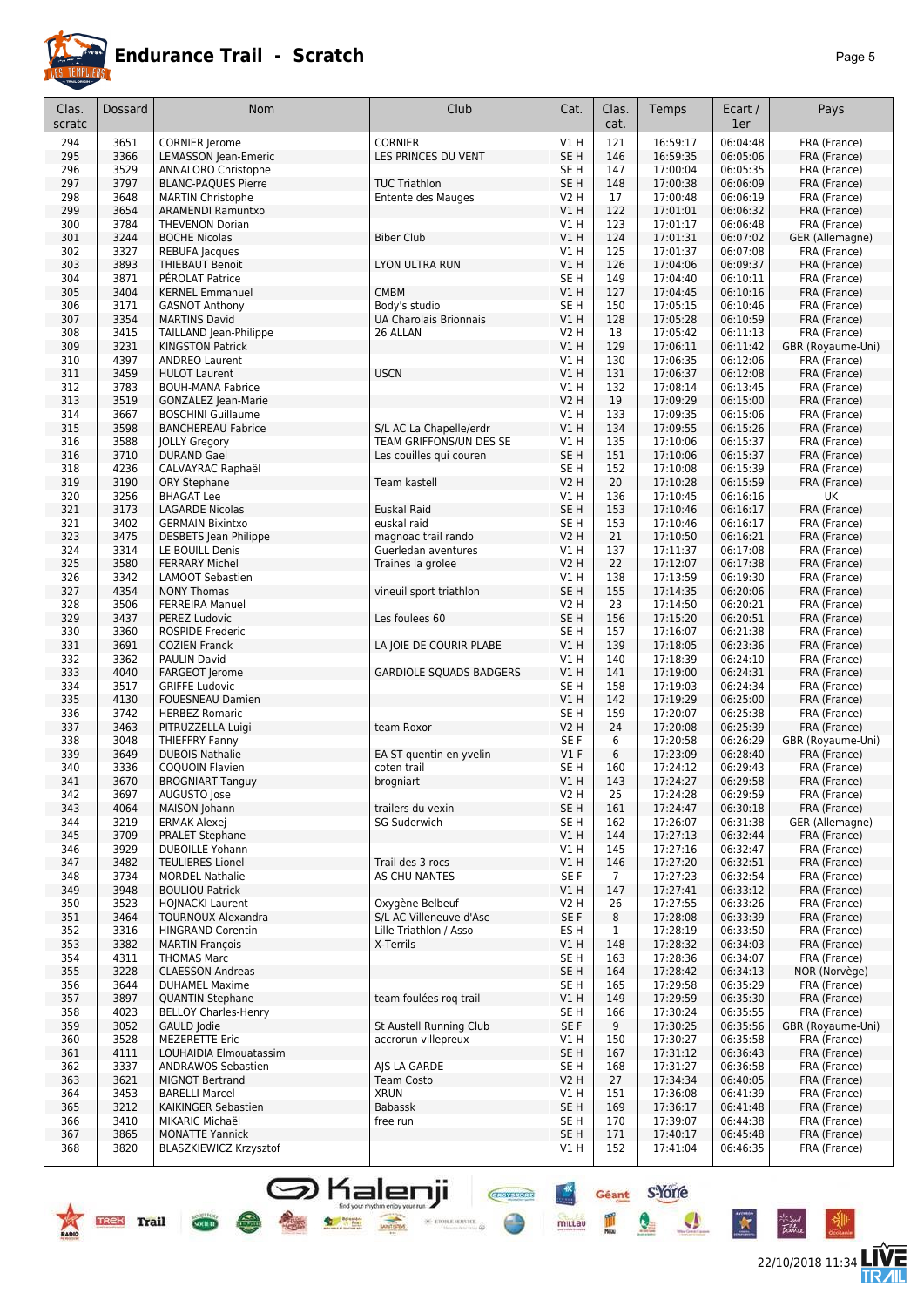

22/10/2018 11:34

**LIVE<br>TR***A***IL** 

Géant S-Yone

Q

I

 $\mathbf{A}$ 

**CHEFFIORE** 

 $\times$  error service.  $\otimes$ 

 $\frac{4x}{x}$ 

mittau

| Clas.<br>scratc | Dossard      | Nom                                               | Club                                           | Cat.                    | Clas.<br>cat. | Temps                | Ecart /<br>1er       | Pays                              |
|-----------------|--------------|---------------------------------------------------|------------------------------------------------|-------------------------|---------------|----------------------|----------------------|-----------------------------------|
| 294             | 3651         | <b>CORNIER Jerome</b>                             | <b>CORNIER</b>                                 | <b>V1 H</b>             | 121           | 16:59:17             | 06:04:48             | FRA (France)                      |
| 295             | 3366         | LEMASSON Jean-Emeric                              | LES PRINCES DU VENT                            | SE <sub>H</sub>         | 146           | 16:59:35             | 06:05:06             | FRA (France)                      |
| 296             | 3529         | ANNALORO Christophe                               |                                                | SE <sub>H</sub>         | 147           | 17:00:04             | 06:05:35             | FRA (France)                      |
| 297             | 3797         | <b>BLANC-PAQUES Pierre</b>                        | <b>TUC Triathlon</b>                           | SE <sub>H</sub>         | 148           | 17:00:38             | 06:06:09             | FRA (France)                      |
| 298             | 3648         | <b>MARTIN Christophe</b>                          | Entente des Mauges                             | V2 H                    | 17            | 17:00:48             | 06:06:19             | FRA (France)                      |
| 299             | 3654         | <b>ARAMENDI Ramuntxo</b>                          |                                                | VIH                     | 122           | 17:01:01             | 06:06:32             | FRA (France)                      |
| 300<br>301      | 3784<br>3244 | <b>THEVENON Dorian</b><br><b>BOCHE Nicolas</b>    | <b>Biber Club</b>                              | V1 H<br>V1H             | 123<br>124    | 17:01:17<br>17:01:31 | 06:06:48<br>06:07:02 | FRA (France)<br>GER (Allemagne)   |
| 302             | 3327         | <b>REBUFA Jacques</b>                             |                                                | V1H                     | 125           | 17:01:37             | 06:07:08             | FRA (France)                      |
| 303             | 3893         | <b>THIEBAUT Benoit</b>                            | LYON ULTRA RUN                                 | V1H                     | 126           | 17:04:06             | 06:09:37             | FRA (France)                      |
| 304             | 3871         | PÉROLAT Patrice                                   |                                                | SE <sub>H</sub>         | 149           | 17:04:40             | 06:10:11             | FRA (France)                      |
| 305             | 3404         | <b>KERNEL Emmanuel</b>                            | <b>CMBM</b>                                    | VIH                     | 127           | 17:04:45             | 06:10:16             | FRA (France)                      |
| 306             | 3171         | <b>GASNOT Anthony</b>                             | Body's studio                                  | SE <sub>H</sub>         | 150           | 17:05:15             | 06:10:46             | FRA (France)                      |
| 307             | 3354         | <b>MARTINS David</b>                              | <b>UA Charolais Brionnais</b>                  | VIH                     | 128           | 17:05:28             | 06:10:59             | FRA (France)                      |
| 308             | 3415         | TAILLAND Jean-Philippe                            | 26 ALLAN                                       | V2 H                    | 18            | 17:05:42             | 06:11:13             | FRA (France)                      |
| 309             | 3231<br>4397 | <b>KINGSTON Patrick</b>                           |                                                | VIH<br>V1 H             | 129           | 17:06:11             | 06:11:42             | GBR (Royaume-Uni)                 |
| 310<br>311      | 3459         | <b>ANDREO Laurent</b><br><b>HULOT Laurent</b>     | <b>USCN</b>                                    | VIH                     | 130<br>131    | 17:06:35<br>17:06:37 | 06:12:06<br>06:12:08 | FRA (France)<br>FRA (France)      |
| 312             | 3783         | <b>BOUH-MANA Fabrice</b>                          |                                                | V1 H                    | 132           | 17:08:14             | 06:13:45             | FRA (France)                      |
| 313             | 3519         | GONZALEZ Jean-Marie                               |                                                | <b>V2 H</b>             | 19            | 17:09:29             | 06:15:00             | FRA (France)                      |
| 314             | 3667         | <b>BOSCHINI Guillaume</b>                         |                                                | V1 H                    | 133           | 17:09:35             | 06:15:06             | FRA (France)                      |
| 315             | 3598         | <b>BANCHEREAU Fabrice</b>                         | S/L AC La Chapelle/erdr                        | V1H                     | 134           | 17:09:55             | 06:15:26             | FRA (France)                      |
| 316             | 3588         | <b>JOLLY Gregory</b>                              | TEAM GRIFFONS/UN DES SE                        | V1 H                    | 135           | 17:10:06             | 06:15:37             | FRA (France)                      |
| 316             | 3710         | <b>DURAND Gael</b>                                | Les couilles qui couren                        | SE <sub>H</sub>         | 151           | 17:10:06             | 06:15:37             | FRA (France)                      |
| 318             | 4236         | CALVAYRAC Raphaël                                 |                                                | SE <sub>H</sub>         | 152           | 17:10:08             | 06:15:39             | FRA (France)                      |
| 319             | 3190         | ORY Stephane                                      | Team kastell                                   | <b>V2 H</b>             | 20            | 17:10:28             | 06:15:59             | FRA (France)                      |
| 320<br>321      | 3256<br>3173 | <b>BHAGAT Lee</b><br><b>LAGARDE Nicolas</b>       | <b>Euskal Raid</b>                             | V1 H<br>SE <sub>H</sub> | 136<br>153    | 17:10:45<br>17:10:46 | 06:16:16<br>06:16:17 | UK<br>FRA (France)                |
| 321             | 3402         | <b>GERMAIN Bixintxo</b>                           | euskal raid                                    | SE <sub>H</sub>         | 153           | 17:10:46             | 06:16:17             | FRA (France)                      |
| 323             | 3475         | <b>DESBETS</b> Jean Philippe                      | magnoac trail rando                            | <b>V2 H</b>             | 21            | 17:10:50             | 06:16:21             | FRA (France)                      |
| 324             | 3314         | LE BOUILL Denis                                   | Guerledan aventures                            | V1 H                    | 137           | 17:11:37             | 06:17:08             | FRA (France)                      |
| 325             | 3580         | <b>FERRARY Michel</b>                             | Traines la grolee                              | V2 H                    | 22            | 17:12:07             | 06:17:38             | FRA (France)                      |
| 326             | 3342         | <b>LAMOOT Sebastien</b>                           |                                                | V1H                     | 138           | 17:13:59             | 06:19:30             | FRA (France)                      |
| 327             | 4354         | <b>NONY Thomas</b>                                | vineuil sport triathlon                        | SE <sub>H</sub>         | 155           | 17:14:35             | 06:20:06             | FRA (France)                      |
| 328             | 3506         | <b>FERREIRA Manuel</b>                            |                                                | V2 H                    | 23            | 17:14:50             | 06:20:21             | FRA (France)                      |
| 329             | 3437         | PEREZ Ludovic                                     | Les foulees 60                                 | SE <sub>H</sub>         | 156           | 17:15:20             | 06:20:51             | FRA (France)                      |
| 330<br>331      | 3360<br>3691 | <b>ROSPIDE Frederic</b>                           |                                                | SE <sub>H</sub><br>VIH  | 157<br>139    | 17:16:07<br>17:18:05 | 06:21:38<br>06:23:36 | FRA (France)                      |
| 332             | 3362         | <b>COZIEN Franck</b><br><b>PAULIN David</b>       | LA JOIE DE COURIR PLABE                        | V1 H                    | 140           | 17:18:39             | 06:24:10             | FRA (France)<br>FRA (France)      |
| 333             | 4040         | FARGEOT Jerome                                    | <b>GARDIOLE SQUADS BADGERS</b>                 | VIH                     | 141           | 17:19:00             | 06:24:31             | FRA (France)                      |
| 334             | 3517         | <b>GRIFFE Ludovic</b>                             |                                                | SE <sub>H</sub>         | 158           | 17:19:03             | 06:24:34             | FRA (France)                      |
| 335             | 4130         | <b>FOUESNEAU Damien</b>                           |                                                | VIH                     | 142           | 17:19:29             | 06:25:00             | FRA (France)                      |
| 336             | 3742         | <b>HERBEZ Romaric</b>                             |                                                | SE <sub>H</sub>         | 159           | 17:20:07             | 06:25:38             | FRA (France)                      |
| 337             | 3463         | PITRUZZELLA Luigi                                 | team Roxor                                     | V <sub>2</sub> H        | 24            | 17:20:08             | 06:25:39             | FRA (France)                      |
| 338             | 3048         | THIEFFRY Fanny                                    |                                                | SE F                    | 6             | 17:20:58             | 06:26:29             | GBR (Royaume-Uni)                 |
| 339             | 3649         | <b>DUBOIS Nathalie</b>                            | EA ST quentin en yvelin                        | V1F                     | 6             | 17:23:09             | 06:28:40             | FRA (France)                      |
| 340<br>341      | 3336<br>3670 | <b>COQUOIN Flavien</b><br><b>BROGNIART Tanguy</b> | coten trail<br>brogniart                       | SE <sub>H</sub><br>V1H  | 160<br>143    | 17:24:12<br>17:24:27 | 06:29:43<br>06:29:58 | FRA (France)<br>FRA (France)      |
| 342             | 3697         | AUGUSTO Jose                                      |                                                | V2 H                    | 25            | 17:24:28             | 06:29:59             | FRA (France)                      |
| 343             | 4064         | MAISON Johann                                     | trailers du vexin                              | SE <sub>H</sub>         | 161           | 17:24:47             | 06:30:18             | FRA (France)                      |
| 344             | 3219         | <b>ERMAK Alexej</b>                               | <b>SG Suderwich</b>                            | SE <sub>H</sub>         | 162           | 17:26:07             | 06:31:38             | GER (Allemagne)                   |
| 345             | 3709         | <b>PRALET Stephane</b>                            |                                                | V1 H                    | 144           | 17:27:13             | 06:32:44             | FRA (France)                      |
| 346             | 3929         | <b>DUBOILLE Yohann</b>                            |                                                | V1 H                    | 145           | 17:27:16             | 06:32:47             | FRA (France)                      |
| 347             | 3482         | <b>TEULIERES Lionel</b>                           | Trail des 3 rocs                               | V1 H                    | 146           | 17:27:20             | 06:32:51             | FRA (France)                      |
| 348             | 3734         | <b>MORDEL Nathalie</b>                            | AS CHU NANTES                                  | SE F                    | 7             | 17:27:23             | 06:32:54             | FRA (France)                      |
| 349<br>350      | 3948<br>3523 | <b>BOULIOU Patrick</b><br><b>HOJNACKI Laurent</b> | Oxygène Belbeuf                                | V1 H<br>V2 H            | 147<br>26     | 17:27:41<br>17:27:55 | 06:33:12<br>06:33:26 | FRA (France)<br>FRA (France)      |
| 351             | 3464         | <b>TOURNOUX Alexandra</b>                         | S/L AC Villeneuve d'Asc                        | SE F                    | 8             | 17:28:08             | 06:33:39             | FRA (France)                      |
| 352             | 3316         | <b>HINGRAND Corentin</b>                          | Lille Triathlon / Asso                         | ES <sub>H</sub>         | $\mathbf{1}$  | 17:28:19             | 06:33:50             | FRA (France)                      |
| 353             | 3382         | <b>MARTIN François</b>                            | X-Terrils                                      | V1 H                    | 148           | 17:28:32             | 06:34:03             | FRA (France)                      |
| 354             | 4311         | <b>THOMAS Marc</b>                                |                                                | SE <sub>H</sub>         | 163           | 17:28:36             | 06:34:07             | FRA (France)                      |
| 355             | 3228         | <b>CLAESSON Andreas</b>                           |                                                | SE <sub>H</sub>         | 164           | 17:28:42             | 06:34:13             | NOR (Norvège)                     |
| 356             | 3644         | <b>DUHAMEL Maxime</b>                             |                                                | SE H                    | 165           | 17:29:58             | 06:35:29             | FRA (France)                      |
| 357             | 3897         | <b>QUANTIN Stephane</b>                           | team foulées rog trail                         | V1 H                    | 149           | 17:29:59             | 06:35:30             | FRA (France)                      |
| 358             | 4023         | <b>BELLOY Charles-Henry</b>                       |                                                | SE <sub>H</sub>         | 166           | 17:30:24             | 06:35:55             | FRA (France)                      |
| 359<br>360      | 3052<br>3528 | GAULD Jodie<br><b>MEZERETTE Eric</b>              | St Austell Running Club<br>accrorun villepreux | SE F<br>V1 H            | 9<br>150      | 17:30:25<br>17:30:27 | 06:35:56<br>06:35:58 | GBR (Royaume-Uni)<br>FRA (France) |
| 361             | 4111         | LOUHAIDIA Elmouatassim                            |                                                | SE H                    | 167           | 17:31:12             | 06:36:43             | FRA (France)                      |
| 362             | 3337         | <b>ANDRAWOS Sebastien</b>                         | AJS LA GARDE                                   | SE H                    | 168           | 17:31:27             | 06:36:58             | FRA (France)                      |
| 363             | 3621         | <b>MIGNOT Bertrand</b>                            | <b>Team Costo</b>                              | V2 H                    | 27            | 17:34:34             | 06:40:05             | FRA (France)                      |
| 364             | 3453         | <b>BARELLI Marcel</b>                             | <b>XRUN</b>                                    | V1 H                    | 151           | 17:36:08             | 06:41:39             | FRA (France)                      |
| 365             | 3212         | KAIKINGER Sebastien                               | Babassk                                        | SE <sub>H</sub>         | 169           | 17:36:17             | 06:41:48             | FRA (France)                      |
| 366             | 3410         | MIKARIC Michaël                                   | free run                                       | SE <sub>H</sub>         | 170           | 17:39:07             | 06:44:38             | FRA (France)                      |
| 367             | 3865         | <b>MONATTE Yannick</b>                            |                                                | SE <sub>H</sub>         | 171           | 17:40:17             | 06:45:48             | FRA (France)                      |
| 368             | 3820         | <b>BLASZKIEWICZ Krzysztof</b>                     |                                                | V1 H                    | 152           | 17:41:04             | 06:46:35             | FRA (France)                      |

**S** Kalenji

 $\bullet$ 

**TREK** Trail

 $\frac{1}{\sqrt{1-\frac{1}{2}}\sqrt{1-\frac{1}{2}}\sqrt{1-\frac{1}{2}}\sqrt{1-\frac{1}{2}}\sqrt{1-\frac{1}{2}}\sqrt{1-\frac{1}{2}}\sqrt{1-\frac{1}{2}}\sqrt{1-\frac{1}{2}}\sqrt{1-\frac{1}{2}}\sqrt{1-\frac{1}{2}}\sqrt{1-\frac{1}{2}}\sqrt{1-\frac{1}{2}}\sqrt{1-\frac{1}{2}}\sqrt{1-\frac{1}{2}}\sqrt{1-\frac{1}{2}}\sqrt{1-\frac{1}{2}}\sqrt{1-\frac{1}{2}}\sqrt{1-\frac{1}{2}}\sqrt{1-\frac{1}{2}}\sqrt{1-\frac$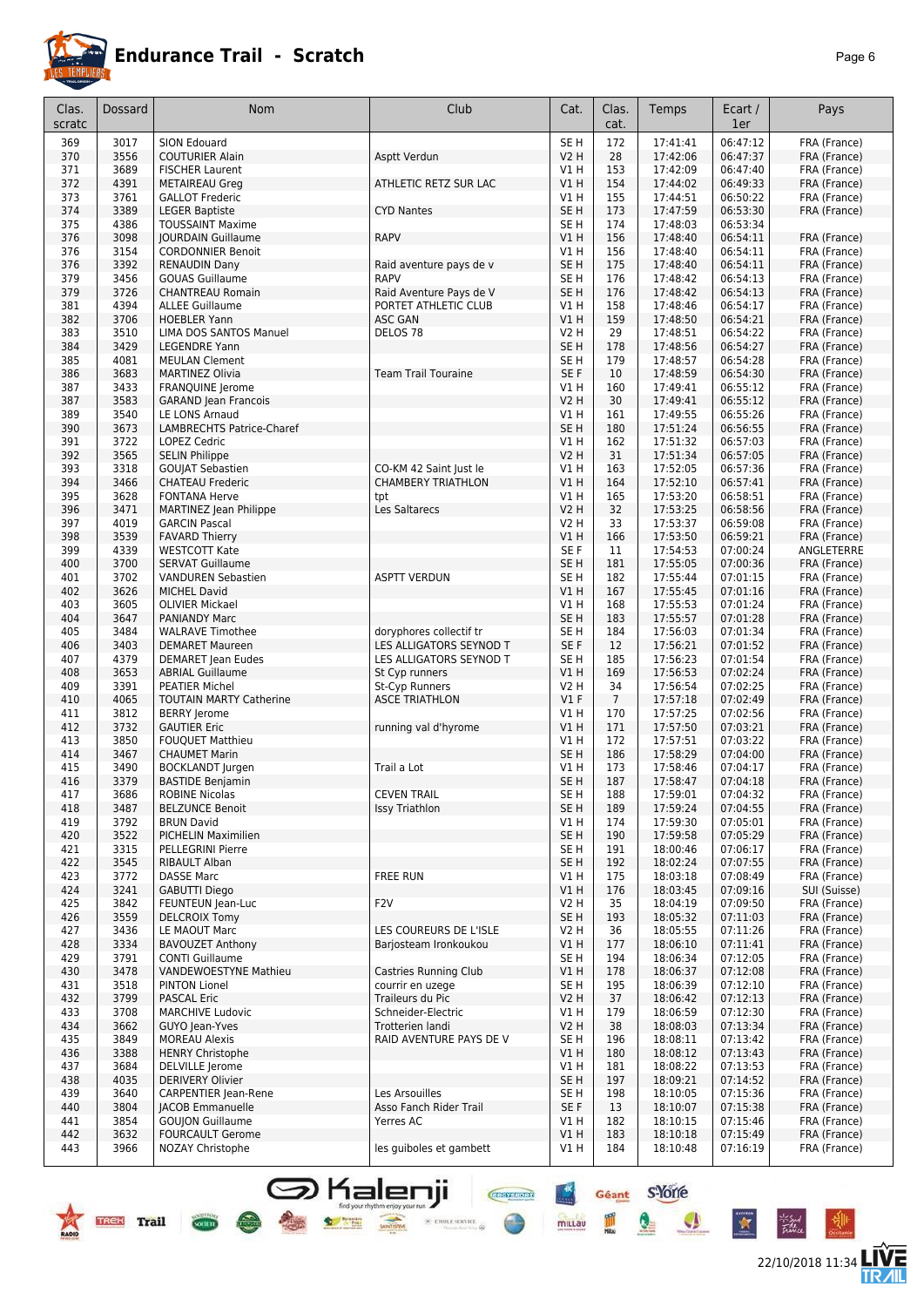

|--|--|

| Clas.<br>scratc | Dossard      | Nom                                               | Club                                               | Cat.                               | Clas.<br>cat.  | Temps                | Ecart /<br>1er       | Pays                         |
|-----------------|--------------|---------------------------------------------------|----------------------------------------------------|------------------------------------|----------------|----------------------|----------------------|------------------------------|
| 369             | 3017         | SION Edouard                                      |                                                    | SE <sub>H</sub>                    | 172            | 17:41:41             | 06:47:12             | FRA (France)                 |
| 370             | 3556         | <b>COUTURIER Alain</b>                            | Asptt Verdun                                       | <b>V2 H</b>                        | 28             | 17:42:06             | 06:47:37             | FRA (France)                 |
| 371             | 3689         | <b>FISCHER Laurent</b>                            |                                                    | V1 H                               | 153            | 17:42:09             | 06:47:40             | FRA (France)                 |
| 372             | 4391         | <b>METAIREAU Greg</b>                             | ATHLETIC RETZ SUR LAC                              | V1H                                | 154            | 17:44:02             | 06:49:33             | FRA (France)                 |
| 373             | 3761         | <b>GALLOT Frederic</b>                            |                                                    | V1 H                               | 155            | 17:44:51             | 06:50:22             | FRA (France)                 |
| 374             | 3389<br>4386 | <b>LEGER Baptiste</b><br><b>TOUSSAINT Maxime</b>  | <b>CYD Nantes</b>                                  | SE <sub>H</sub><br>SE <sub>H</sub> | 173<br>174     | 17:47:59<br>17:48:03 | 06:53:30<br>06:53:34 | FRA (France)                 |
| 375<br>376      | 3098         | <b>JOURDAIN Guillaume</b>                         | <b>RAPV</b>                                        | V1H                                | 156            | 17:48:40             | 06:54:11             | FRA (France)                 |
| 376             | 3154         | <b>CORDONNIER Benoit</b>                          |                                                    | V1 H                               | 156            | 17:48:40             | 06:54:11             | FRA (France)                 |
| 376             | 3392         | <b>RENAUDIN Dany</b>                              | Raid aventure pays de v                            | SE <sub>H</sub>                    | 175            | 17:48:40             | 06:54:11             | FRA (France)                 |
| 379             | 3456         | <b>GOUAS Guillaume</b>                            | <b>RAPV</b>                                        | SE H                               | 176            | 17:48:42             | 06:54:13             | FRA (France)                 |
| 379             | 3726         | <b>CHANTREAU Romain</b>                           | Raid Aventure Pays de V                            | SE <sub>H</sub>                    | 176            | 17:48:42             | 06:54:13             | FRA (France)                 |
| 381             | 4394         | <b>ALLEE Guillaume</b>                            | PORTET ATHLETIC CLUB                               | V1H                                | 158            | 17:48:46             | 06:54:17             | FRA (France)                 |
| 382             | 3706         | <b>HOEBLER Yann</b>                               | <b>ASC GAN</b>                                     | V1H                                | 159            | 17:48:50             | 06:54:21             | FRA (France)                 |
| 383             | 3510         | LIMA DOS SANTOS Manuel                            | DELOS <sub>78</sub>                                | <b>V2 H</b>                        | 29             | 17:48:51             | 06:54:22             | FRA (France)                 |
| 384<br>385      | 3429<br>4081 | <b>LEGENDRE Yann</b><br><b>MEULAN Clement</b>     |                                                    | SE <sub>H</sub><br>SE <sub>H</sub> | 178<br>179     | 17:48:56<br>17:48:57 | 06:54:27<br>06:54:28 | FRA (France)<br>FRA (France) |
| 386             | 3683         | <b>MARTINEZ Olivia</b>                            | <b>Team Trail Touraine</b>                         | SE F                               | 10             | 17:48:59             | 06:54:30             | FRA (France)                 |
| 387             | 3433         | <b>FRANQUINE Jerome</b>                           |                                                    | V1H                                | 160            | 17:49:41             | 06:55:12             | FRA (France)                 |
| 387             | 3583         | <b>GARAND Jean Francois</b>                       |                                                    | <b>V2 H</b>                        | 30             | 17:49:41             | 06:55:12             | FRA (France)                 |
| 389             | 3540         | LE LONS Arnaud                                    |                                                    | V1 H                               | 161            | 17:49:55             | 06:55:26             | FRA (France)                 |
| 390             | 3673         | <b>LAMBRECHTS Patrice-Charef</b>                  |                                                    | SE <sub>H</sub>                    | 180            | 17:51:24             | 06:56:55             | FRA (France)                 |
| 391             | 3722         | LOPEZ Cedric                                      |                                                    | V1 H                               | 162            | 17:51:32             | 06:57:03             | FRA (France)                 |
| 392             | 3565         | <b>SELIN Philippe</b>                             |                                                    | <b>V2 H</b>                        | 31             | 17:51:34             | 06:57:05             | FRA (France)                 |
| 393             | 3318         | <b>GOUJAT Sebastien</b>                           | CO-KM 42 Saint Just le                             | V1 H                               | 163            | 17:52:05             | 06:57:36             | FRA (France)                 |
| 394<br>395      | 3466<br>3628 | <b>CHATEAU Frederic</b><br><b>FONTANA Herve</b>   | <b>CHAMBERY TRIATHLON</b>                          | V1H<br>V1H                         | 164<br>165     | 17:52:10<br>17:53:20 | 06:57:41<br>06:58:51 | FRA (France)                 |
| 396             | 3471         | <b>MARTINEZ Jean Philippe</b>                     | tpt<br>Les Saltarecs                               | <b>V2 H</b>                        | 32             | 17:53:25             | 06:58:56             | FRA (France)<br>FRA (France) |
| 397             | 4019         | <b>GARCIN Pascal</b>                              |                                                    | V2 H                               | 33             | 17:53:37             | 06:59:08             | FRA (France)                 |
| 398             | 3539         | <b>FAVARD Thierry</b>                             |                                                    | V1H                                | 166            | 17:53:50             | 06:59:21             | FRA (France)                 |
| 399             | 4339         | <b>WESTCOTT Kate</b>                              |                                                    | SE F                               | 11             | 17:54:53             | 07:00:24             | ANGLETERRE                   |
| 400             | 3700         | <b>SERVAT Guillaume</b>                           |                                                    | SE <sub>H</sub>                    | 181            | 17:55:05             | 07:00:36             | FRA (France)                 |
| 401             | 3702         | <b>VANDUREN Sebastien</b>                         | <b>ASPTT VERDUN</b>                                | SE <sub>H</sub>                    | 182            | 17:55:44             | 07:01:15             | FRA (France)                 |
| 402             | 3626         | <b>MICHEL David</b>                               |                                                    | VIH                                | 167            | 17:55:45             | 07:01:16             | FRA (France)                 |
| 403             | 3605         | <b>OLIVIER Mickael</b>                            |                                                    | V1 H                               | 168            | 17:55:53             | 07:01:24             | FRA (France)                 |
| 404             | 3647         | <b>PANIANDY Marc</b>                              |                                                    | SE <sub>H</sub>                    | 183            | 17:55:57             | 07:01:28             | FRA (France)                 |
| 405<br>406      | 3484<br>3403 | <b>WALRAVE Timothee</b><br><b>DEMARET Maureen</b> | doryphores collectif tr<br>LES ALLIGATORS SEYNOD T | SE <sub>H</sub><br>SE F            | 184<br>12      | 17:56:03<br>17:56:21 | 07:01:34<br>07:01:52 | FRA (France)<br>FRA (France) |
| 407             | 4379         | <b>DEMARET</b> Jean Eudes                         | LES ALLIGATORS SEYNOD T                            | SE <sub>H</sub>                    | 185            | 17:56:23             | 07:01:54             | FRA (France)                 |
| 408             | 3653         | <b>ABRIAL Guillaume</b>                           | St Cyp runners                                     | V1H                                | 169            | 17:56:53             | 07:02:24             | FRA (France)                 |
| 409             | 3391         | <b>PEATIER Michel</b>                             | St-Cyp Runners                                     | V2 H                               | 34             | 17:56:54             | 07:02:25             | FRA (France)                 |
| 410             | 4065         | <b>TOUTAIN MARTY Catherine</b>                    | <b>ASCE TRIATHLON</b>                              | V1F                                | $\overline{7}$ | 17:57:18             | 07:02:49             | FRA (France)                 |
| 411             | 3812         | <b>BERRY</b> Jerome                               |                                                    | V1H                                | 170            | 17:57:25             | 07:02:56             | FRA (France)                 |
| 412             | 3732         | <b>GAUTIER Eric</b>                               | running val d'hyrome                               | VIH                                | 171            | 17:57:50             | 07:03:21             | FRA (France)                 |
| 413             | 3850         | <b>FOUOUET Matthieu</b>                           |                                                    | V1 H                               | 172            | 17:57:51             | 07:03:22             | FRA (France)                 |
| 414<br>415      | 3467<br>3490 | <b>CHAUMET Marin</b><br><b>BOCKLANDT</b> Jurgen   | Trail a Lot                                        | SE <sub>H</sub><br>V1 H            | 186<br>173     | 17:58:29<br>17:58:46 | 07:04:00<br>07:04:17 | FRA (France)<br>FRA (France) |
| 416             | 3379         | <b>BASTIDE Benjamin</b>                           |                                                    | SE <sub>H</sub>                    | 187            | 17:58:47             | 07:04:18             | FRA (France)                 |
| 417             | 3686         | ROBINE Nicolas                                    | <b>CEVEN TRAIL</b>                                 | SE H                               | 188            | 17:59:01             | 07:04:32             | FRA (France)                 |
| 418             | 3487         | <b>BELZUNCE Benoit</b>                            | <b>Issy Triathlon</b>                              | SE <sub>H</sub>                    | 189            | 17:59:24             | 07:04:55             | FRA (France)                 |
| 419             | 3792         | <b>BRUN David</b>                                 |                                                    | V1H                                | 174            | 17:59:30             | 07:05:01             | FRA (France)                 |
| 420             | 3522         | <b>PICHELIN Maximilien</b>                        |                                                    | SE <sub>H</sub>                    | 190            | 17:59:58             | 07:05:29             | FRA (France)                 |
| 421             | 3315         | PELLEGRINI Pierre                                 |                                                    | SE H                               | 191            | 18:00:46             | 07:06:17             | FRA (France)                 |
| 422             | 3545         | RIBAULT Alban                                     |                                                    | SE <sub>H</sub>                    | 192            | 18:02:24             | 07:07:55             | FRA (France)                 |
| 423             | 3772         | <b>DASSE Marc</b><br><b>GABUTTI Diego</b>         | <b>FREE RUN</b>                                    | V1 H                               | 175            | 18:03:18             | 07:08:49<br>07:09:16 | FRA (France)                 |
| 424<br>425      | 3241<br>3842 | FEUNTEUN Jean-Luc                                 | F <sub>2</sub> V                                   | V1H<br>V2 H                        | 176<br>35      | 18:03:45<br>18:04:19 | 07:09:50             | SUI (Suisse)<br>FRA (France) |
| 426             | 3559         | <b>DELCROIX Tomy</b>                              |                                                    | SE H                               | 193            | 18:05:32             | 07:11:03             | FRA (France)                 |
| 427             | 3436         | LE MAOUT Marc                                     | LES COUREURS DE L'ISLE                             | V2 H                               | 36             | 18:05:55             | 07:11:26             | FRA (France)                 |
| 428             | 3334         | <b>BAVOUZET Anthony</b>                           | Barjosteam Ironkoukou                              | V1H                                | 177            | 18:06:10             | 07:11:41             | FRA (France)                 |
| 429             | 3791         | <b>CONTI Guillaume</b>                            |                                                    | SE H                               | 194            | 18:06:34             | 07:12:05             | FRA (France)                 |
| 430             | 3478         | VANDEWOESTYNE Mathieu                             | Castries Running Club                              | V1H                                | 178            | 18:06:37             | 07:12:08             | FRA (France)                 |
| 431             | 3518         | <b>PINTON Lionel</b>                              | courrir en uzege                                   | SE H                               | 195            | 18:06:39             | 07:12:10             | FRA (France)                 |
| 432             | 3799         | <b>PASCAL Eric</b>                                | Traileurs du Pic                                   | <b>V2 H</b>                        | 37             | 18:06:42             | 07:12:13             | FRA (France)                 |
| 433             | 3708         | <b>MARCHIVE Ludovic</b>                           | Schneider-Electric                                 | V1 H                               | 179            | 18:06:59             | 07:12:30             | FRA (France)                 |
| 434<br>435      | 3662<br>3849 | GUYO Jean-Yves<br><b>MOREAU Alexis</b>            | Trotterien landi<br>RAID AVENTURE PAYS DE V        | V2 H<br>SE H                       | 38<br>196      | 18:08:03<br>18:08:11 | 07:13:34<br>07:13:42 | FRA (France)<br>FRA (France) |
| 436             | 3388         | <b>HENRY Christophe</b>                           |                                                    | V1 H                               | 180            | 18:08:12             | 07:13:43             | FRA (France)                 |
| 437             | 3684         | <b>DELVILLE</b> Jerome                            |                                                    | V1 H                               | 181            | 18:08:22             | 07:13:53             | FRA (France)                 |
| 438             | 4035         | <b>DERIVERY Olivier</b>                           |                                                    | SE H                               | 197            | 18:09:21             | 07:14:52             | FRA (France)                 |
| 439             | 3640         | <b>CARPENTIER Jean-Rene</b>                       | Les Arsouilles                                     | SE H                               | 198            | 18:10:05             | 07:15:36             | FRA (France)                 |
| 440             | 3804         | <b>JACOB Emmanuelle</b>                           | Asso Fanch Rider Trail                             | SE F                               | 13             | 18:10:07             | 07:15:38             | FRA (France)                 |
| 441             | 3854         | <b>GOUJON Guillaume</b>                           | Yerres AC                                          | V1 H                               | 182            | 18:10:15             | 07:15:46             | FRA (France)                 |
| 442             | 3632         | <b>FOURCAULT Gerome</b>                           |                                                    | V1H                                | 183            | 18:10:18             | 07:15:49             | FRA (France)                 |
| 443             | 3966         | NOZAY Christophe                                  | les guiboles et gambett                            | V1 H                               | 184            | 18:10:48             | 07:16:19             | FRA (France)                 |

Shalenji **Gent** Store





irsud<br>Tabu

 $\bullet$ 

X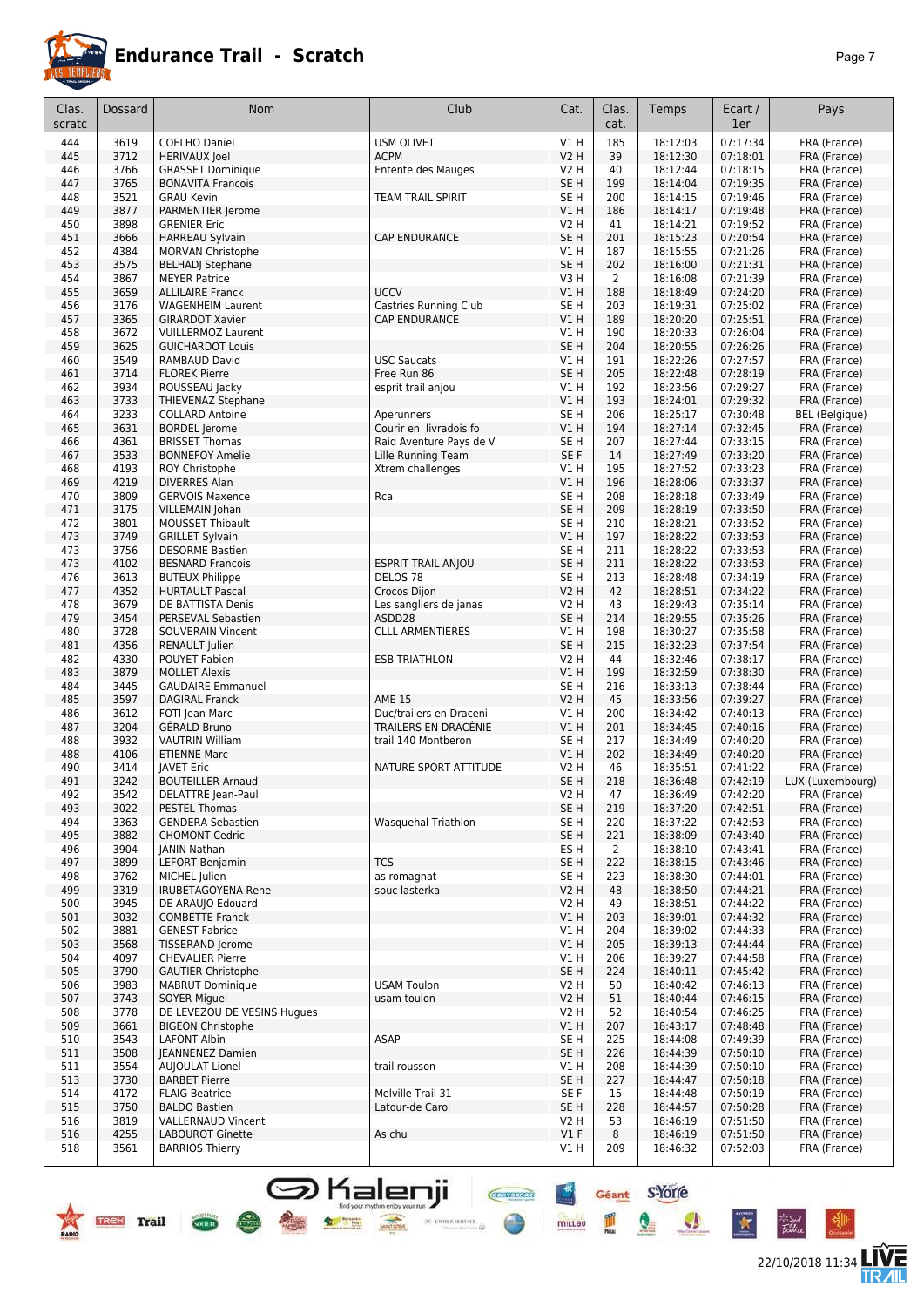

#### **Endurance Trail - Scratch** *Page 7*

|  |  | Pag |
|--|--|-----|
|  |  |     |
|  |  |     |
|  |  |     |

22/10/2018 11:34 **LIVE** 

| Clas.<br>scratc | Dossard                     | Nom                                              | Club                                                | Cat.                       | Clas.<br>cat.  | Temps                | Ecart /<br>1er       | Pays                         |
|-----------------|-----------------------------|--------------------------------------------------|-----------------------------------------------------|----------------------------|----------------|----------------------|----------------------|------------------------------|
|                 |                             |                                                  |                                                     |                            |                |                      |                      |                              |
| 444             | 3619<br>3712                | <b>COELHO Daniel</b>                             | <b>USM OLIVET</b>                                   | V1H                        | 185<br>39      | 18:12:03             | 07:17:34<br>07:18:01 | FRA (France)<br>FRA (France) |
| 445<br>446      | 3766                        | <b>HERIVAUX Joel</b><br><b>GRASSET Dominique</b> | <b>ACPM</b><br>Entente des Mauges                   | <b>V2 H</b><br><b>V2 H</b> | 40             | 18:12:30<br>18:12:44 | 07:18:15             | FRA (France)                 |
| 447             | 3765                        | <b>BONAVITA Francois</b>                         |                                                     | SE <sub>H</sub>            | 199            | 18:14:04             | 07:19:35             | FRA (France)                 |
| 448             | 3521                        | <b>GRAU Kevin</b>                                | <b>TEAM TRAIL SPIRIT</b>                            | SE <sub>H</sub>            | 200            | 18:14:15             | 07:19:46             | FRA (France)                 |
| 449             | 3877                        | PARMENTIER Jerome                                |                                                     | <b>V1 H</b>                | 186            | 18:14:17             | 07:19:48             | FRA (France)                 |
| 450             | 3898                        | <b>GRENIER Eric</b>                              |                                                     | <b>V2 H</b>                | 41             | 18:14:21             | 07:19:52             | FRA (France)                 |
| 451             | 3666                        | <b>HARREAU Sylvain</b>                           | <b>CAP ENDURANCE</b>                                | SE <sub>H</sub>            | 201            | 18:15:23             | 07:20:54             | FRA (France)                 |
| 452             | 4384                        | MORVAN Christophe                                |                                                     | V1H                        | 187            | 18:15:55             | 07:21:26             | FRA (France)                 |
| 453             | 3575                        | <b>BELHAD</b> Stephane                           |                                                     | SE <sub>H</sub>            | 202            | 18:16:00             | 07:21:31             | FRA (France)                 |
| 454             | 3867                        | <b>MEYER Patrice</b>                             |                                                     | V3H                        | 2              | 18:16:08             | 07:21:39             | FRA (France)                 |
| 455             | 3659                        | <b>ALLILAIRE Franck</b>                          | <b>UCCV</b>                                         | V1H                        | 188            | 18:18:49             | 07:24:20             | FRA (France)                 |
| 456             | 3176                        | <b>WAGENHEIM Laurent</b>                         | Castries Running Club                               | SE <sub>H</sub>            | 203            | 18:19:31             | 07:25:02             | FRA (France)                 |
| 457             | 3365                        | <b>GIRARDOT Xavier</b>                           | <b>CAP ENDURANCE</b>                                | V1H                        | 189            | 18:20:20             | 07:25:51             | FRA (France)                 |
| 458             | 3672<br>3625                | <b>VUILLERMOZ Laurent</b>                        |                                                     | V1H                        | 190            | 18:20:33             | 07:26:04             | FRA (France)                 |
| 459<br>460      | 3549                        | <b>GUICHARDOT Louis</b><br>RAMBAUD David         | <b>USC Saucats</b>                                  | SE <sub>H</sub><br>V1H     | 204<br>191     | 18:20:55<br>18:22:26 | 07:26:26<br>07:27:57 | FRA (France)<br>FRA (France) |
| 461             | 3714                        | <b>FLOREK Pierre</b>                             | Free Run 86                                         | SE <sub>H</sub>            | 205            | 18:22:48             | 07:28:19             | FRA (France)                 |
| 462             | 3934                        | ROUSSEAU Jacky                                   | esprit trail anjou                                  | V1 H                       | 192            | 18:23:56             | 07:29:27             | FRA (France)                 |
| 463             | 3733                        | THIEVENAZ Stephane                               |                                                     | V1 H                       | 193            | 18:24:01             | 07:29:32             | FRA (France)                 |
| 464             | 3233                        | <b>COLLARD Antoine</b>                           | Aperunners                                          | SE <sub>H</sub>            | 206            | 18:25:17             | 07:30:48             | <b>BEL</b> (Belgique)        |
| 465             | 3631                        | <b>BORDEL Jerome</b>                             | Courir en livradois fo                              | V1H                        | 194            | 18:27:14             | 07:32:45             | FRA (France)                 |
| 466             | 4361                        | <b>BRISSET Thomas</b>                            | Raid Aventure Pays de V                             | SE <sub>H</sub>            | 207            | 18:27:44             | 07:33:15             | FRA (France)                 |
| 467             | 3533                        | <b>BONNEFOY Amelie</b>                           | Lille Running Team                                  | SE F                       | 14             | 18:27:49             | 07:33:20             | FRA (France)                 |
| 468             | 4193                        | ROY Christophe                                   | Xtrem challenges                                    | V1H                        | 195            | 18:27:52             | 07:33:23             | FRA (France)                 |
| 469             | 4219                        | <b>DIVERRES Alan</b>                             |                                                     | V1H                        | 196            | 18:28:06             | 07:33:37             | FRA (France)                 |
| 470             | 3809                        | <b>GERVOIS Maxence</b>                           | Rca                                                 | SE <sub>H</sub>            | 208            | 18:28:18             | 07:33:49             | FRA (France)                 |
| 471             | 3175                        | <b>VILLEMAIN Johan</b>                           |                                                     | SE <sub>H</sub>            | 209            | 18:28:19             | 07:33:50             | FRA (France)                 |
| 472             | 3801                        | <b>MOUSSET Thibault</b>                          |                                                     | SE <sub>H</sub>            | 210            | 18:28:21             | 07:33:52             | FRA (France)                 |
| 473             | 3749                        | <b>GRILLET Sylvain</b>                           |                                                     | V1H                        | 197            | 18:28:22             | 07:33:53             | FRA (France)                 |
| 473             | 3756                        | <b>DESORME Bastien</b>                           |                                                     | SE <sub>H</sub>            | 211            | 18:28:22             | 07:33:53             | FRA (France)                 |
| 473             | 4102                        | <b>BESNARD Francois</b>                          | <b>ESPRIT TRAIL ANJOU</b>                           | SE <sub>H</sub>            | 211            | 18:28:22             | 07:33:53             | FRA (France)                 |
| 476             | 3613                        | <b>BUTEUX Philippe</b>                           | DELOS <sub>78</sub>                                 | SE H                       | 213            | 18:28:48             | 07:34:19             | FRA (France)                 |
| 477             | 4352                        | <b>HURTAULT Pascal</b>                           | Crocos Dijon                                        | <b>V2 H</b>                | 42             | 18:28:51             | 07:34:22             | FRA (France)                 |
| 478             | 3679                        | DE BATTISTA Denis                                | Les sangliers de janas                              | <b>V2 H</b>                | 43             | 18:29:43             | 07:35:14             | FRA (France)                 |
| 479             | 3454                        | PERSEVAL Sebastien                               | ASDD28                                              | SE <sub>H</sub>            | 214            | 18:29:55             | 07:35:26             | FRA (France)                 |
| 480             | 3728<br>4356                | <b>SOUVERAIN Vincent</b>                         | <b>CLLL ARMENTIERES</b>                             | V1H<br>SE <sub>H</sub>     | 198<br>215     | 18:30:27<br>18:32:23 | 07:35:58<br>07:37:54 | FRA (France)<br>FRA (France) |
| 481             | 4330                        | <b>RENAULT</b> Julien<br>POUYET Fabien           |                                                     | <b>V2 H</b>                | 44             | 18:32:46             | 07:38:17             | FRA (France)                 |
| 482<br>483      | 3879                        | <b>MOLLET Alexis</b>                             | <b>ESB TRIATHLON</b>                                | V1 H                       | 199            | 18:32:59             | 07:38:30             | FRA (France)                 |
| 484             | 3445                        | <b>GAUDAIRE Emmanuel</b>                         |                                                     | SE <sub>H</sub>            | 216            | 18:33:13             | 07:38:44             | FRA (France)                 |
| 485             | 3597                        | <b>DAGIRAL Franck</b>                            | <b>AME 15</b>                                       | <b>V2 H</b>                | 45             | 18:33:56             | 07:39:27             | FRA (France)                 |
| 486             | 3612                        | FOTI Jean Marc                                   | Duc/trailers en Draceni                             | <b>V1 H</b>                | 200            | 18:34:42             | 07:40:13             | FRA (France)                 |
| 487             | 3204                        | GÉRALD Bruno                                     | TRAILERS EN DRACÉNIE                                | V1 H                       | 201            | 18:34:45             | 07:40:16             | FRA (France)                 |
| 488             | 3932                        | <b>VAUTRIN William</b>                           | trail 140 Montberon                                 | SE H                       | 217            | 18:34:49             | 07:40:20             | FRA (France)                 |
| 488             | 4106                        | <b>ETIENNE Marc</b>                              |                                                     | V1H                        | 202            | 18:34:49             | 07:40:20             | FRA (France)                 |
| 490             | 3414                        | <b>JAVET Eric</b>                                | NATURE SPORT ATTITUDE                               | <b>V2 H</b>                | 46             | 18:35:51             | 07:41:22             | FRA (France)                 |
| 491             | 3242                        | <b>BOUTEILLER Arnaud</b>                         |                                                     | SE <sub>H</sub>            | 218            | 18:36:48             | 07:42:19             | LUX (Luxembourg)             |
| 492             | 3542                        | DELATTRE Jean-Paul                               |                                                     | V2 H                       | 47             | 18:36:49             | 07:42:20             | FRA (France)                 |
| 493             | 3022                        | <b>PESTEL Thomas</b>                             |                                                     | SE H                       | 219            | 18:37:20             | 07:42:51             | FRA (France)                 |
| 494             | 3363                        | <b>GENDERA Sebastien</b>                         | Wasquehal Triathlon                                 | SE <sub>H</sub>            | 220            | 18:37:22             | 07:42:53             | FRA (France)                 |
| 495             | 3882                        | <b>CHOMONT Cedric</b>                            |                                                     | SE <sub>H</sub>            | 221            | 18:38:09             | 07:43:40             | FRA (France)                 |
| 496             | 3904                        | JANIN Nathan                                     |                                                     | ES <sub>H</sub>            | $\overline{2}$ | 18:38:10             | 07:43:41             | FRA (France)                 |
| 497             | 3899                        | <b>LEFORT Benjamin</b>                           | <b>TCS</b>                                          | SE <sub>H</sub>            | 222            | 18:38:15             | 07:43:46             | FRA (France)                 |
| 498             | 3762                        | MICHEL Julien                                    | as romagnat                                         | SE H                       | 223            | 18:38:30             | 07:44:01             | FRA (France)                 |
| 499             | 3319                        | <b>IRUBETAGOYENA Rene</b>                        | spuc lasterka                                       | V2 H                       | 48             | 18:38:50             | 07:44:21             | FRA (France)                 |
| 500             | 3945                        | DE ARAUJO Edouard                                |                                                     | V2 H                       | 49             | 18:38:51             | 07:44:22             | FRA (France)                 |
| 501<br>502      | 3032<br>3881                | <b>COMBETTE Franck</b>                           |                                                     | V1H<br>V1 H                | 203<br>204     | 18:39:01             | 07:44:32<br>07:44:33 | FRA (France)                 |
| 503             | 3568                        | <b>GENEST Fabrice</b><br>TISSERAND Jerome        |                                                     | V1H                        | 205            | 18:39:02<br>18:39:13 | 07:44:44             | FRA (France)<br>FRA (France) |
| 504             | 4097                        | <b>CHEVALIER Pierre</b>                          |                                                     | V1H                        | 206            | 18:39:27             | 07:44:58             | FRA (France)                 |
| 505             | 3790                        | <b>GAUTIER Christophe</b>                        |                                                     | SE <sub>H</sub>            | 224            | 18:40:11             | 07:45:42             | FRA (France)                 |
| 506             | 3983                        | <b>MABRUT Dominique</b>                          | <b>USAM Toulon</b>                                  | <b>V2 H</b>                | 50             | 18:40:42             | 07:46:13             | FRA (France)                 |
| 507             | 3743                        | <b>SOYER Miguel</b>                              | usam toulon                                         | V2 H                       | 51             | 18:40:44             | 07:46:15             | FRA (France)                 |
| 508             | 3778                        | DE LEVEZOU DE VESINS Hugues                      |                                                     | V2 H                       | 52             | 18:40:54             | 07:46:25             | FRA (France)                 |
| 509             | 3661                        | <b>BIGEON Christophe</b>                         |                                                     | V1 H                       | 207            | 18:43:17             | 07:48:48             | FRA (France)                 |
| 510             | 3543                        | <b>LAFONT Albin</b>                              | ASAP                                                | SE H                       | 225            | 18:44:08             | 07:49:39             | FRA (France)                 |
| 511             | 3508                        | <b>IEANNENEZ Damien</b>                          |                                                     | SE H                       | 226            | 18:44:39             | 07:50:10             | FRA (France)                 |
| 511             | 3554                        | <b>AUJOULAT Lionel</b>                           | trail rousson                                       | V1 H                       | 208            | 18:44:39             | 07:50:10             | FRA (France)                 |
| 513             | 3730                        | <b>BARBET Pierre</b>                             |                                                     | SE H                       | 227            | 18:44:47             | 07:50:18             | FRA (France)                 |
| 514             | 4172                        | <b>FLAIG Beatrice</b>                            | Melville Trail 31                                   | SE F                       | 15             | 18:44:48             | 07:50:19             | FRA (France)                 |
| 515             | 3750                        | <b>BALDO Bastien</b>                             | Latour-de Carol                                     | SE H                       | 228            | 18:44:57             | 07:50:28             | FRA (France)                 |
| 516             | 3819                        | <b>VALLERNAUD Vincent</b>                        |                                                     | <b>V2 H</b>                | 53             | 18:46:19             | 07:51:50             | FRA (France)                 |
| 516             | 4255                        | <b>LABOUROT Ginette</b>                          | As chu                                              | V1F                        | 8              | 18:46:19             | 07:51:50             | FRA (France)                 |
| 518             | 3561                        | <b>BARRIOS Thierry</b>                           |                                                     | V1 H                       | 209            | 18:46:32             | 07:52:03             | FRA (France)                 |
|                 |                             |                                                  | <b>CROYSPORT</b><br>find your rhythm enjoy your run | $rac{4}{\sqrt{2}}$         | Géant          | <b>s'Yorre</b>       |                      |                              |
|                 | <b>Trail</b><br><b>TREK</b> | society                                          | 36 ETOILE SERVICE                                   | millau                     | Milair         | V                    | 立                    | 75 Sud<br>Fishia             |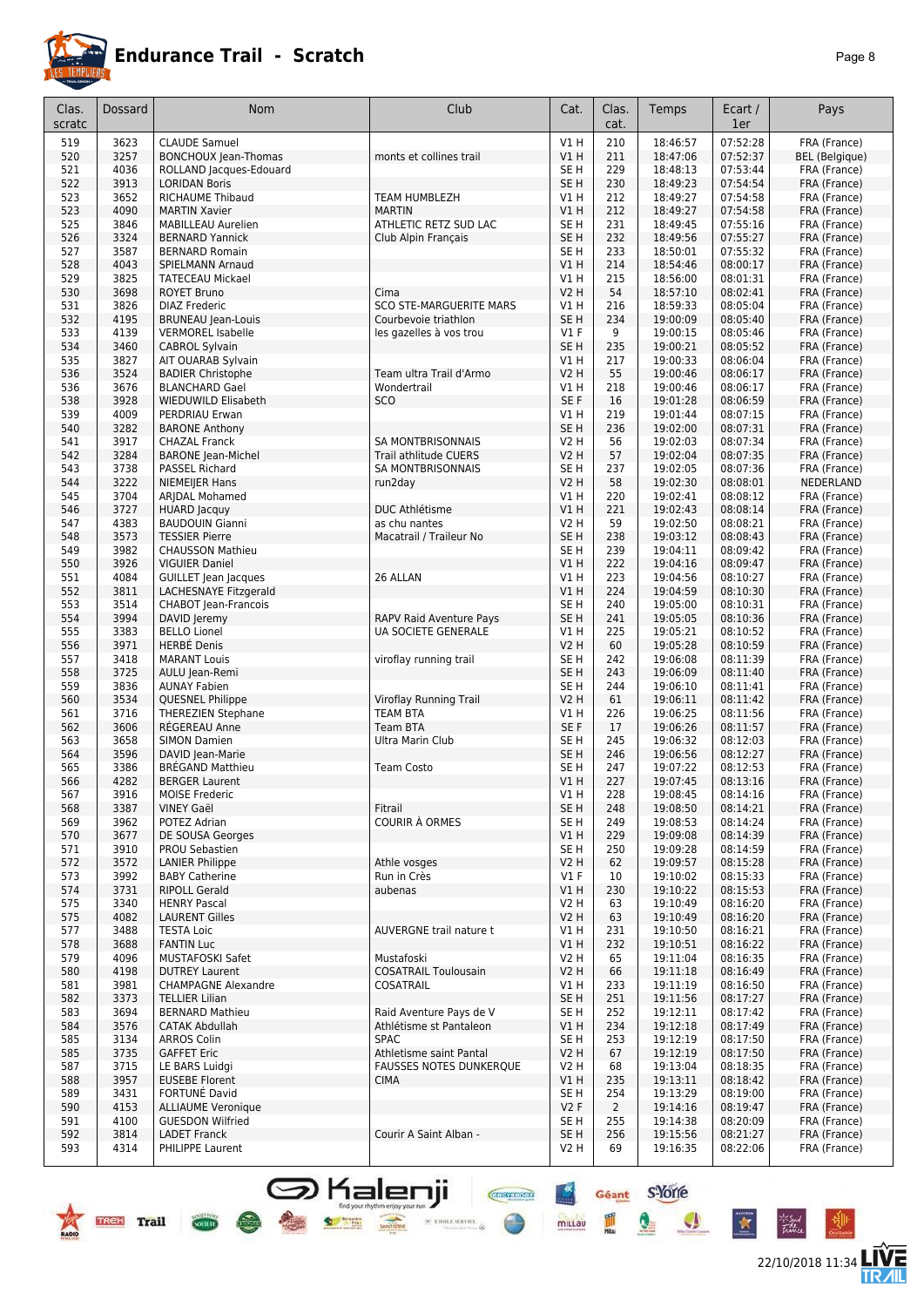

22/10/2018 11:34 **TWE** 

| Clas.<br>scratc | <b>Dossard</b>              | <b>Nom</b>                                       | Club                                                                                | Cat.                               | Clas.<br>cat.         | Temps                | Ecart /<br>1er       | Pays                         |
|-----------------|-----------------------------|--------------------------------------------------|-------------------------------------------------------------------------------------|------------------------------------|-----------------------|----------------------|----------------------|------------------------------|
| 519             | 3623                        | <b>CLAUDE Samuel</b>                             |                                                                                     | V1 H                               | 210                   | 18:46:57             | 07:52:28             | FRA (France)                 |
| 520             | 3257                        | <b>BONCHOUX Jean-Thomas</b>                      | monts et collines trail                                                             | V1H                                | 211                   | 18:47:06             | 07:52:37             | <b>BEL</b> (Belgique)        |
| 521             | 4036                        | ROLLAND Jacques-Edouard                          |                                                                                     | SE <sub>H</sub>                    | 229                   | 18:48:13             | 07:53:44             | FRA (France)                 |
| 522<br>523      | 3913<br>3652                | <b>LORIDAN Boris</b><br><b>RICHAUME Thibaud</b>  | TEAM HUMBLEZH                                                                       | SE <sub>H</sub><br>V1H             | 230<br>212            | 18:49:23<br>18:49:27 | 07:54:54<br>07:54:58 | FRA (France)<br>FRA (France) |
| 523             | 4090                        | <b>MARTIN Xavier</b>                             | <b>MARTIN</b>                                                                       | V1H                                | 212                   | 18:49:27             | 07:54:58             | FRA (France)                 |
| 525             | 3846                        | <b>MABILLEAU Aurelien</b>                        | ATHLETIC RETZ SUD LAC                                                               | SE <sub>H</sub>                    | 231                   | 18:49:45             | 07:55:16             | FRA (France)                 |
| 526             | 3324                        | <b>BERNARD Yannick</b>                           | Club Alpin Français                                                                 | SE <sub>H</sub>                    | 232                   | 18:49:56             | 07:55:27             | FRA (France)                 |
| 527             | 3587                        | <b>BERNARD Romain</b>                            |                                                                                     | SE <sub>H</sub>                    | 233                   | 18:50:01             | 07:55:32             | FRA (France)                 |
| 528<br>529      | 4043<br>3825                | SPIELMANN Arnaud<br><b>TATECEAU Mickael</b>      |                                                                                     | V1H<br>V1 H                        | 214<br>215            | 18:54:46<br>18:56:00 | 08:00:17<br>08:01:31 | FRA (France)<br>FRA (France) |
| 530             | 3698                        | <b>ROYET Bruno</b>                               | Cima                                                                                | <b>V2 H</b>                        | 54                    | 18:57:10             | 08:02:41             | FRA (France)                 |
| 531             | 3826                        | <b>DIAZ Frederic</b>                             | <b>SCO STE-MARGUERITE MARS</b>                                                      | V1H                                | 216                   | 18:59:33             | 08:05:04             | FRA (France)                 |
| 532             | 4195                        | <b>BRUNEAU Jean-Louis</b>                        | Courbevoie triathlon                                                                | SE <sub>H</sub>                    | 234                   | 19:00:09             | 08:05:40             | FRA (France)                 |
| 533             | 4139                        | <b>VERMOREL Isabelle</b>                         | les gazelles à vos trou                                                             | $VI$ F                             | 9                     | 19:00:15             | 08:05:46             | FRA (France)                 |
| 534<br>535      | 3460<br>3827                | <b>CABROL Sylvain</b><br>AIT OUARAB Sylvain      |                                                                                     | SE <sub>H</sub><br>V1 H            | 235<br>217            | 19:00:21<br>19:00:33 | 08:05:52<br>08:06:04 | FRA (France)<br>FRA (France) |
| 536             | 3524                        | <b>BADIER Christophe</b>                         | Team ultra Trail d'Armo                                                             | <b>V2 H</b>                        | 55                    | 19:00:46             | 08:06:17             | FRA (France)                 |
| 536             | 3676                        | <b>BLANCHARD Gael</b>                            | Wondertrail                                                                         | V1H                                | 218                   | 19:00:46             | 08:06:17             | FRA (France)                 |
| 538             | 3928                        | WIEDUWILD Elisabeth                              | <b>SCO</b>                                                                          | SE F                               | 16                    | 19:01:28             | 08:06:59             | FRA (France)                 |
| 539             | 4009                        | PERDRIAU Erwan                                   |                                                                                     | V1 H                               | 219                   | 19:01:44             | 08:07:15             | FRA (France)                 |
| 540<br>541      | 3282<br>3917                | <b>BARONE Anthony</b><br><b>CHAZAL Franck</b>    | <b>SA MONTBRISONNAIS</b>                                                            | SE <sub>H</sub><br><b>V2 H</b>     | 236<br>56             | 19:02:00<br>19:02:03 | 08:07:31<br>08:07:34 | FRA (France)<br>FRA (France) |
| 542             | 3284                        | <b>BARONE</b> Jean-Michel                        | Trail athlitude CUERS                                                               | V2 H                               | 57                    | 19:02:04             | 08:07:35             | FRA (France)                 |
| 543             | 3738                        | <b>PASSEL Richard</b>                            | <b>SA MONTBRISONNAIS</b>                                                            | SE <sub>H</sub>                    | 237                   | 19:02:05             | 08:07:36             | FRA (France)                 |
| 544             | 3222                        | NIEMEIJER Hans                                   | run2day                                                                             | <b>V2 H</b>                        | 58                    | 19:02:30             | 08:08:01             | NEDERLAND                    |
| 545             | 3704                        | ARJDAL Mohamed                                   |                                                                                     | V1 H                               | 220                   | 19:02:41             | 08:08:12             | FRA (France)                 |
| 546<br>547      | 3727<br>4383                | <b>HUARD Jacquy</b><br><b>BAUDOUIN Gianni</b>    | <b>DUC Athlétisme</b><br>as chu nantes                                              | V1H<br><b>V2 H</b>                 | 221<br>59             | 19:02:43<br>19:02:50 | 08:08:14<br>08:08:21 | FRA (France)<br>FRA (France) |
| 548             | 3573                        | <b>TESSIER Pierre</b>                            | Macatrail / Traileur No                                                             | SE <sub>H</sub>                    | 238                   | 19:03:12             | 08:08:43             | FRA (France)                 |
| 549             | 3982                        | <b>CHAUSSON Mathieu</b>                          |                                                                                     | SE <sub>H</sub>                    | 239                   | 19:04:11             | 08:09:42             | FRA (France)                 |
| 550             | 3926                        | <b>VIGUIER Daniel</b>                            |                                                                                     | V1 H                               | 222                   | 19:04:16             | 08:09:47             | FRA (France)                 |
| 551             | 4084                        | GUILLET Jean Jacques                             | 26 ALLAN                                                                            | V1H                                | 223                   | 19:04:56             | 08:10:27             | FRA (France)                 |
| 552             | 3811                        | LACHESNAYE Fitzgerald                            |                                                                                     | V1H                                | 224                   | 19:04:59             | 08:10:30             | FRA (France)                 |
| 553<br>554      | 3514<br>3994                | CHABOT Jean-Francois<br>DAVID Jeremy             | RAPV Raid Aventure Pays                                                             | SE <sub>H</sub><br>SE <sub>H</sub> | 240<br>241            | 19:05:00<br>19:05:05 | 08:10:31<br>08:10:36 | FRA (France)<br>FRA (France) |
| 555             | 3383                        | <b>BELLO Lionel</b>                              | <b>UA SOCIETE GENERALE</b>                                                          | V1 H                               | 225                   | 19:05:21             | 08:10:52             | FRA (France)                 |
| 556             | 3971                        | <b>HERBÉ Denis</b>                               |                                                                                     | <b>V2 H</b>                        | 60                    | 19:05:28             | 08:10:59             | FRA (France)                 |
| 557             | 3418                        | <b>MARANT Louis</b>                              | viroflay running trail                                                              | SE <sub>H</sub>                    | 242                   | 19:06:08             | 08:11:39             | FRA (France)                 |
| 558             | 3725                        | AULU Jean-Remi                                   |                                                                                     | SE <sub>H</sub>                    | 243                   | 19:06:09             | 08:11:40             | FRA (France)                 |
| 559<br>560      | 3836<br>3534                | <b>AUNAY Fabien</b><br>QUESNEL Philippe          | Viroflay Running Trail                                                              | SE <sub>H</sub><br><b>V2 H</b>     | 244<br>61             | 19:06:10<br>19:06:11 | 08:11:41<br>08:11:42 | FRA (France)<br>FRA (France) |
| 561             | 3716                        | <b>THEREZIEN Stephane</b>                        | <b>TEAM BTA</b>                                                                     | V1H                                | 226                   | 19:06:25             | 08:11:56             | FRA (France)                 |
| 562             | 3606                        | RÉGEREAU Anne                                    | <b>Team BTA</b>                                                                     | SE F                               | 17                    | 19:06:26             | 08:11:57             | FRA (France)                 |
| 563             | 3658                        | <b>SIMON Damien</b>                              | Ultra Marin Club                                                                    | SE <sub>H</sub>                    | 245                   | 19:06:32             | 08:12:03             | FRA (France)                 |
| 564             | 3596                        | DAVID Jean-Marie                                 |                                                                                     | SE <sub>H</sub>                    | 246                   | 19:06:56             | 08:12:27             | FRA (France)                 |
| 565<br>566      | 3386<br>4282                | <b>BREGAND Matthieu</b><br><b>BERGER Laurent</b> | <b>Team Costo</b>                                                                   | SE H<br>VIH                        | 247<br>227            | 19:07:22<br>19:07:45 | 08:12:53<br>08:13:16 | FRA (France)<br>FRA (France) |
| 567             | 3916                        | MOISE Frederic                                   |                                                                                     | V1 H                               | 228                   | 19:08:45             | 08:14:16             | FRA (France)                 |
| 568             | 3387                        | <b>VINEY Gaël</b>                                | Fitrail                                                                             | SE <sub>H</sub>                    | 248                   | 19:08:50             | 08:14:21             | FRA (France)                 |
| 569             | 3962                        | POTEZ Adrian                                     | <b>COURIR À ORMES</b>                                                               | SE <sub>H</sub>                    | 249                   | 19:08:53             | 08:14:24             | FRA (France)                 |
| 570             | 3677                        | DE SOUSA Georges                                 |                                                                                     | V1H                                | 229                   | 19:09:08             | 08:14:39             | FRA (France)                 |
| 571<br>572      | 3910<br>3572                | PROU Sebastien<br><b>LANIER Philippe</b>         | Athle vosges                                                                        | SE <sub>H</sub><br><b>V2 H</b>     | 250<br>62             | 19:09:28<br>19:09:57 | 08:14:59<br>08:15:28 | FRA (France)<br>FRA (France) |
| 573             | 3992                        | <b>BABY Catherine</b>                            | Run in Crès                                                                         | $VI$ F                             | 10                    | 19:10:02             | 08:15:33             | FRA (France)                 |
| 574             | 3731                        | <b>RIPOLL Gerald</b>                             | aubenas                                                                             | V1H                                | 230                   | 19:10:22             | 08:15:53             | FRA (France)                 |
| 575             | 3340                        | <b>HENRY Pascal</b>                              |                                                                                     | <b>V2 H</b>                        | 63                    | 19:10:49             | 08:16:20             | FRA (France)                 |
| 575             | 4082                        | <b>LAURENT Gilles</b>                            |                                                                                     | <b>V2 H</b>                        | 63                    | 19:10:49             | 08:16:20             | FRA (France)                 |
| 577<br>578      | 3488<br>3688                | <b>TESTA Loic</b><br><b>FANTIN Luc</b>           | <b>AUVERGNE trail nature t</b>                                                      | V1H<br>VIH                         | 231<br>232            | 19:10:50<br>19:10:51 | 08:16:21<br>08:16:22 | FRA (France)<br>FRA (France) |
| 579             | 4096                        | MUSTAFOSKI Safet                                 | Mustafoski                                                                          | V2 H                               | 65                    | 19:11:04             | 08:16:35             | FRA (France)                 |
| 580             | 4198                        | <b>DUTREY Laurent</b>                            | <b>COSATRAIL Toulousain</b>                                                         | <b>V2 H</b>                        | 66                    | 19:11:18             | 08:16:49             | FRA (France)                 |
| 581             | 3981                        | <b>CHAMPAGNE Alexandre</b>                       | COSATRAIL                                                                           | V1 H                               | 233                   | 19:11:19             | 08:16:50             | FRA (France)                 |
| 582             | 3373                        | <b>TELLIER Lilian</b>                            |                                                                                     | SE <sub>H</sub>                    | 251                   | 19:11:56             | 08:17:27             | FRA (France)                 |
| 583<br>584      | 3694<br>3576                | <b>BERNARD Mathieu</b><br><b>CATAK Abdullah</b>  | Raid Aventure Pays de V<br>Athlétisme st Pantaleon                                  | SE <sub>H</sub><br>V1H             | 252<br>234            | 19:12:11<br>19:12:18 | 08:17:42<br>08:17:49 | FRA (France)<br>FRA (France) |
| 585             | 3134                        | <b>ARROS Colin</b>                               | <b>SPAC</b>                                                                         | SE <sub>H</sub>                    | 253                   | 19:12:19             | 08:17:50             | FRA (France)                 |
| 585             | 3735                        | <b>GAFFET Eric</b>                               | Athletisme saint Pantal                                                             | <b>V2 H</b>                        | 67                    | 19:12:19             | 08:17:50             | FRA (France)                 |
| 587             | 3715                        | LE BARS Luidgi                                   | <b>FAUSSES NOTES DUNKERQUE</b>                                                      | V2 H                               | 68                    | 19:13:04             | 08:18:35             | FRA (France)                 |
| 588             | 3957                        | <b>EUSEBE Florent</b>                            | <b>CIMA</b>                                                                         | VIH                                | 235                   | 19:13:11             | 08:18:42             | FRA (France)                 |
| 589<br>590      | 3431<br>4153                | FORTUNÉ David<br><b>ALLIAUME Veronique</b>       |                                                                                     | SE <sub>H</sub><br>V2F             | 254<br>$\overline{2}$ | 19:13:29<br>19:14:16 | 08:19:00<br>08:19:47 | FRA (France)<br>FRA (France) |
| 591             | 4100                        | <b>GUESDON Wilfried</b>                          |                                                                                     | SE H                               | 255                   | 19:14:38             | 08:20:09             | FRA (France)                 |
| 592             | 3814                        | <b>LADET Franck</b>                              | Courir A Saint Alban -                                                              | SE H                               | 256                   | 19:15:56             | 08:21:27             | FRA (France)                 |
| 593             | 4314                        | PHILIPPE Laurent                                 |                                                                                     | V2 H                               | 69                    | 19:16:35             | 08:22:06             | FRA (France)                 |
|                 | <b>Trail</b><br><b>TREK</b> | society                                          | Kalenji<br><b>CROTSPORT</b><br>find your rhythm enjoy your run<br>36 ETOILE SERVICE | millau                             | Géant                 | <b>s</b> Yone        |                      |                              |

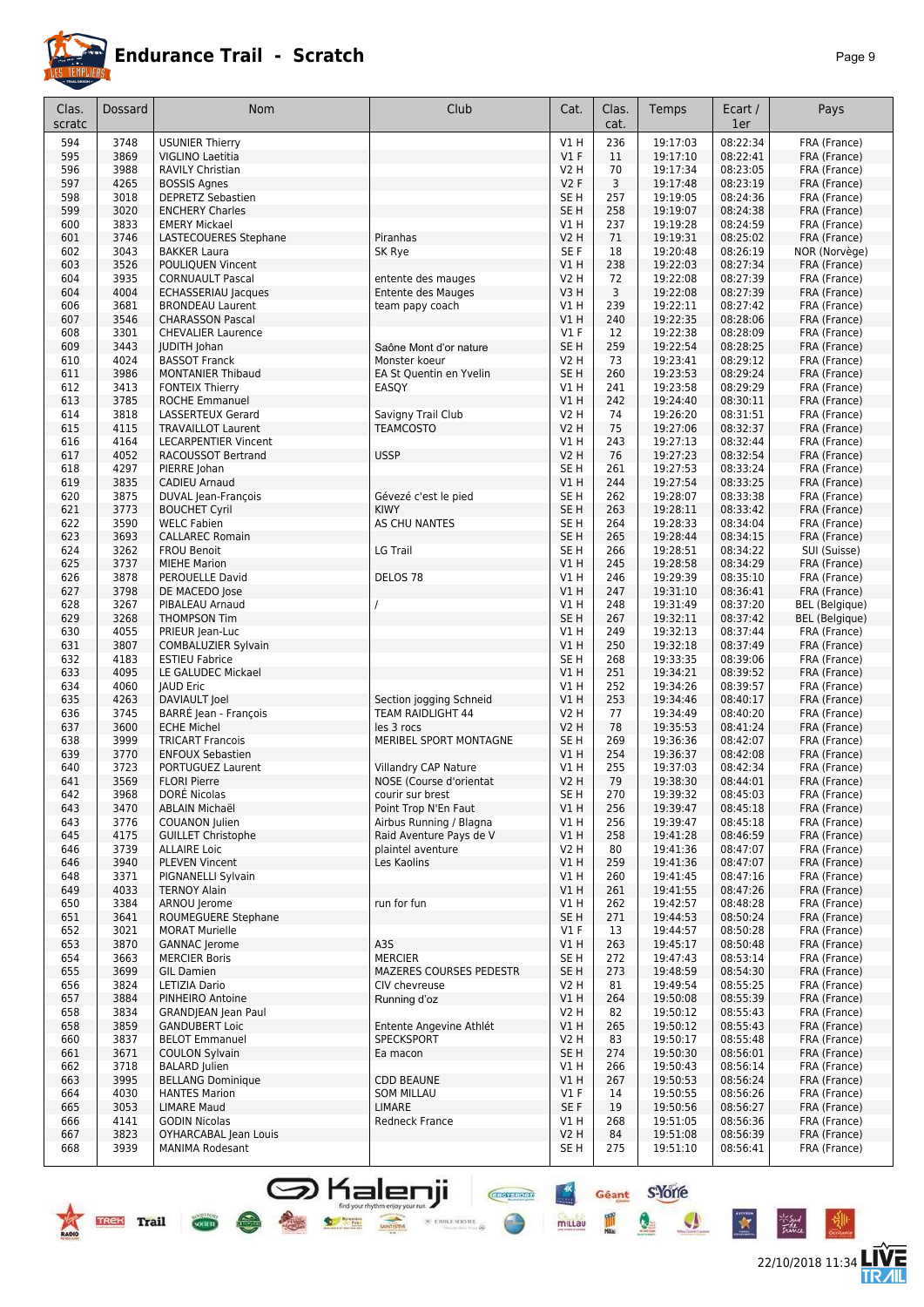

|--|--|

| Clas.<br>scratc | Dossard      | Nom                                                | Club                                    | Cat.                           | Clas.<br>cat. | Temps                | Ecart /<br>1er       | Pays                                  |
|-----------------|--------------|----------------------------------------------------|-----------------------------------------|--------------------------------|---------------|----------------------|----------------------|---------------------------------------|
| 594             | 3748         | <b>USUNIER Thierry</b>                             |                                         | V1H                            | 236           | 19:17:03             | 08:22:34             | FRA (France)                          |
| 595             | 3869         | VIGLINO Laetitia                                   |                                         | $VI$ F                         | 11            | 19:17:10             | 08:22:41             | FRA (France)                          |
| 596             | 3988         | <b>RAVILY Christian</b>                            |                                         | V2 H                           | 70            | 19:17:34             | 08:23:05             | FRA (France)                          |
| 597             | 4265         | <b>BOSSIS Agnes</b>                                |                                         | V2F                            | 3             | 19:17:48             | 08:23:19             | FRA (France)                          |
| 598             | 3018         | <b>DEPRETZ Sebastien</b>                           |                                         | SE <sub>H</sub>                | 257           | 19:19:05             | 08:24:36             | FRA (France)                          |
| 599<br>600      | 3020<br>3833 | <b>ENCHERY Charles</b><br><b>EMERY Mickael</b>     |                                         | SE <sub>H</sub><br>V1H         | 258<br>237    | 19:19:07<br>19:19:28 | 08:24:38<br>08:24:59 | FRA (France)                          |
| 601             | 3746         | LASTECOUERES Stephane                              | Piranhas                                | V2 H                           | 71            | 19:19:31             | 08:25:02             | FRA (France)<br>FRA (France)          |
| 602             | 3043         | <b>BAKKER Laura</b>                                | SK Rye                                  | SE F                           | 18            | 19:20:48             | 08:26:19             | NOR (Norvège)                         |
| 603             | 3526         | POULIQUEN Vincent                                  |                                         | VIH                            | 238           | 19:22:03             | 08:27:34             | FRA (France)                          |
| 604             | 3935         | <b>CORNUAULT Pascal</b>                            | entente des mauges                      | <b>V2 H</b>                    | 72            | 19:22:08             | 08:27:39             | FRA (France)                          |
| 604             | 4004         | <b>ECHASSERIAU Jacques</b>                         | <b>Entente des Mauges</b>               | V3H                            | 3             | 19:22:08             | 08:27:39             | FRA (France)                          |
| 606             | 3681         | <b>BRONDEAU Laurent</b>                            | team papy coach                         | V1H                            | 239           | 19:22:11             | 08:27:42             | FRA (France)                          |
| 607             | 3546         | <b>CHARASSON Pascal</b>                            |                                         | V1H                            | 240           | 19:22:35             | 08:28:06             | FRA (France)                          |
| 608             | 3301<br>3443 | <b>CHEVALIER Laurence</b>                          |                                         | $VI$ F                         | 12            | 19:22:38             | 08:28:09             | FRA (France)                          |
| 609<br>610      | 4024         | <b>JUDITH Johan</b><br><b>BASSOT Franck</b>        | Saône Mont d'or nature<br>Monster koeur | SE <sub>H</sub><br><b>V2 H</b> | 259<br>73     | 19:22:54<br>19:23:41 | 08:28:25<br>08:29:12 | FRA (France)<br>FRA (France)          |
| 611             | 3986         | <b>MONTANIER Thibaud</b>                           | EA St Quentin en Yvelin                 | SE <sub>H</sub>                | 260           | 19:23:53             | 08:29:24             | FRA (France)                          |
| 612             | 3413         | <b>FONTEIX Thierry</b>                             | EASQY                                   | V1H                            | 241           | 19:23:58             | 08:29:29             | FRA (France)                          |
| 613             | 3785         | <b>ROCHE Emmanuel</b>                              |                                         | V1 H                           | 242           | 19:24:40             | 08:30:11             | FRA (France)                          |
| 614             | 3818         | LASSERTEUX Gerard                                  | Savigny Trail Club                      | V2 H                           | 74            | 19:26:20             | 08:31:51             | FRA (France)                          |
| 615             | 4115         | <b>TRAVAILLOT Laurent</b>                          | <b>TEAMCOSTO</b>                        | <b>V2 H</b>                    | 75            | 19:27:06             | 08:32:37             | FRA (France)                          |
| 616             | 4164         | <b>LECARPENTIER Vincent</b>                        |                                         | V1 H                           | 243           | 19:27:13             | 08:32:44             | FRA (France)                          |
| 617             | 4052         | <b>RACOUSSOT Bertrand</b>                          | <b>USSP</b>                             | <b>V2 H</b>                    | 76            | 19:27:23             | 08:32:54             | FRA (France)                          |
| 618             | 4297         | PIERRE Johan                                       |                                         | SE <sub>H</sub>                | 261           | 19:27:53             | 08:33:24<br>08:33:25 | FRA (France)<br>FRA (France)          |
| 619<br>620      | 3835<br>3875 | <b>CADIEU Arnaud</b><br><b>DUVAL Jean-François</b> | Gévezé c'est le pied                    | VIH<br>SE H                    | 244<br>262    | 19:27:54<br>19:28:07 | 08:33:38             | FRA (France)                          |
| 621             | 3773         | <b>BOUCHET Cyril</b>                               | <b>KIWY</b>                             | SE <sub>H</sub>                | 263           | 19:28:11             | 08:33:42             | FRA (France)                          |
| 622             | 3590         | <b>WELC Fabien</b>                                 | AS CHU NANTES                           | SE <sub>H</sub>                | 264           | 19:28:33             | 08:34:04             | FRA (France)                          |
| 623             | 3693         | <b>CALLAREC Romain</b>                             |                                         | SE <sub>H</sub>                | 265           | 19:28:44             | 08:34:15             | FRA (France)                          |
| 624             | 3262         | <b>FROU Benoit</b>                                 | LG Trail                                | SE H                           | 266           | 19:28:51             | 08:34:22             | SUI (Suisse)                          |
| 625             | 3737         | <b>MIEHE Marion</b>                                |                                         | VIH                            | 245           | 19:28:58             | 08:34:29             | FRA (France)                          |
| 626             | 3878         | PEROUELLE David                                    | DELOS <sub>78</sub>                     | V1H                            | 246           | 19:29:39             | 08:35:10             | FRA (France)                          |
| 627             | 3798         | DE MACEDO Jose                                     |                                         | VIH                            | 247           | 19:31:10             | 08:36:41             | FRA (France)                          |
| 628             | 3267         | PIBALEAU Arnaud                                    |                                         | V1H                            | 248           | 19:31:49             | 08:37:20             | <b>BEL</b> (Belgique)                 |
| 629<br>630      | 3268<br>4055 | <b>THOMPSON Tim</b><br>PRIEUR Jean-Luc             |                                         | SE <sub>H</sub><br>VIH         | 267<br>249    | 19:32:11<br>19:32:13 | 08:37:42<br>08:37:44 | <b>BEL</b> (Belgique)<br>FRA (France) |
| 631             | 3807         | COMBALUZIER Sylvain                                |                                         | V1H                            | 250           | 19:32:18             | 08:37:49             | FRA (France)                          |
| 632             | 4183         | <b>ESTIEU Fabrice</b>                              |                                         | SE <sub>H</sub>                | 268           | 19:33:35             | 08:39:06             | FRA (France)                          |
| 633             | 4095         | LE GALUDEC Mickael                                 |                                         | V1H                            | 251           | 19:34:21             | 08:39:52             | FRA (France)                          |
| 634             | 4060         | <b>JAUD Eric</b>                                   |                                         | VIH                            | 252           | 19:34:26             | 08:39:57             | FRA (France)                          |
| 635             | 4263         | DAVIAULT Joel                                      | Section jogging Schneid                 | V1H                            | 253           | 19:34:46             | 08:40:17             | FRA (France)                          |
| 636             | 3745         | BARRÉ Jean - François                              | TEAM RAIDLIGHT 44                       | V2 H                           | 77            | 19:34:49             | 08:40:20             | FRA (France)                          |
| 637             | 3600         | <b>ECHE Michel</b>                                 | les 3 rocs                              | V2 H                           | 78            | 19:35:53             | 08:41:24             | FRA (France)                          |
| 638<br>639      | 3999<br>3770 | <b>TRICART Francois</b><br><b>ENFOUX Sebastien</b> | MERIBEL SPORT MONTAGNE                  | SE H<br>VIH                    | 269<br>254    | 19:36:36<br>19:36:37 | 08:42:07<br>08:42:08 | FRA (France)<br>FRA (France)          |
| 640             | 3723         | PORTUGUEZ Laurent                                  | <b>Villandry CAP Nature</b>             | V1 H                           | 255           | 19:37:03             | 08:42:34             | FRA (France)                          |
| 641             | 3569         | <b>FLORI Pierre</b>                                | NOSE (Course d'orientat                 | V <sub>2</sub> H               | 79            | 19:38:30             | 08:44:01             | FRA (France)                          |
| 642             | 3968         | <b>DORE NICOLAS</b>                                | courir sur brest                        | SE H                           | 270           | 19:39:32             | 08:45:03             | FRA (France)                          |
| 643             | 3470         | <b>ABLAIN Michaël</b>                              | Point Trop N'En Faut                    | V1H                            | 256           | 19:39:47             | 08:45:18             | FRA (France)                          |
| 643             | 3776         | COUANON Julien                                     | Airbus Running / Blagna                 | V1 H                           | 256           | 19:39:47             | 08:45:18             | FRA (France)                          |
| 645             | 4175         | <b>GUILLET Christophe</b>                          | Raid Aventure Pays de V                 | VIH                            | 258           | 19:41:28             | 08:46:59             | FRA (France)                          |
| 646             | 3739         | <b>ALLAIRE Loic</b>                                | plaintel aventure<br>Les Kaolins        | V2 H                           | 80            | 19:41:36             | 08:47:07             | FRA (France)                          |
| 646<br>648      | 3940<br>3371 | <b>PLEVEN Vincent</b><br>PIGNANELLI Sylvain        |                                         | VIH<br>V1H                     | 259<br>260    | 19:41:36<br>19:41:45 | 08:47:07<br>08:47:16 | FRA (France)<br>FRA (France)          |
| 649             | 4033         | <b>TERNOY Alain</b>                                |                                         | V1H                            | 261           | 19:41:55             | 08:47:26             | FRA (France)                          |
| 650             | 3384         | ARNOU Jerome                                       | run for fun                             | V1H                            | 262           | 19:42:57             | 08:48:28             | FRA (France)                          |
| 651             | 3641         | ROUMEGUERE Stephane                                |                                         | SE <sub>H</sub>                | 271           | 19:44:53             | 08:50:24             | FRA (France)                          |
| 652             | 3021         | <b>MORAT Murielle</b>                              |                                         | $VI$ F                         | 13            | 19:44:57             | 08:50:28             | FRA (France)                          |
| 653             | 3870         | <b>GANNAC</b> Jerome                               | A3S                                     | V1H                            | 263           | 19:45:17             | 08:50:48             | FRA (France)                          |
| 654             | 3663         | <b>MERCIER Boris</b>                               | <b>MERCIER</b>                          | SE H                           | 272           | 19:47:43             | 08:53:14             | FRA (France)                          |
| 655             | 3699         | <b>GIL Damien</b>                                  | MAZERES COURSES PEDESTR                 | SE <sub>H</sub>                | 273           | 19:48:59             | 08:54:30             | FRA (France)                          |
| 656<br>657      | 3824<br>3884 | LETIZIA Dario<br>PINHEIRO Antoine                  | CIV chevreuse                           | V2 H<br>V1H                    | 81<br>264     | 19:49:54<br>19:50:08 | 08:55:25<br>08:55:39 | FRA (France)<br>FRA (France)          |
| 658             | 3834         | <b>GRANDJEAN Jean Paul</b>                         | Running d'oz                            | V2 H                           | 82            | 19:50:12             | 08:55:43             | FRA (France)                          |
| 658             | 3859         | <b>GANDUBERT Loic</b>                              | Entente Angevine Athlét                 | VIH                            | 265           | 19:50:12             | 08:55:43             | FRA (France)                          |
| 660             | 3837         | <b>BELOT Emmanuel</b>                              | SPECKSPORT                              | V2 H                           | 83            | 19:50:17             | 08:55:48             | FRA (France)                          |
| 661             | 3671         | <b>COULON Sylvain</b>                              | Ea macon                                | SE <sub>H</sub>                | 274           | 19:50:30             | 08:56:01             | FRA (France)                          |
| 662             | 3718         | <b>BALARD</b> Julien                               |                                         | V1H                            | 266           | 19:50:43             | 08:56:14             | FRA (France)                          |
| 663             | 3995         | <b>BELLANG Dominique</b>                           | <b>CDD BEAUNE</b>                       | V1H                            | 267           | 19:50:53             | 08:56:24             | FRA (France)                          |
| 664             | 4030         | <b>HANTES Marion</b>                               | <b>SOM MILLAU</b>                       | $VI$ F                         | 14            | 19:50:55             | 08:56:26             | FRA (France)                          |
| 665<br>666      | 3053         | <b>LIMARE Maud</b><br><b>GODIN Nicolas</b>         | <b>LIMARE</b>                           | SE F<br>V1H                    | 19<br>268     | 19:50:56             | 08:56:27             | FRA (France)                          |
| 667             | 4141<br>3823 | OYHARCABAL Jean Louis                              | Redneck France                          | <b>V2 H</b>                    | 84            | 19:51:05<br>19:51:08 | 08:56:36<br>08:56:39 | FRA (France)<br>FRA (France)          |
| 668             | 3939         | <b>MANIMA Rodesant</b>                             |                                         | SE H                           | 275           | 19:51:10             | 08:56:41             | FRA (France)                          |

SHalenji **Gregori** Géant S'Ore

圃

 $\bullet$ 

Ä



 $rac{1}{\sqrt{2}}$ 



ir Sud<br>Talian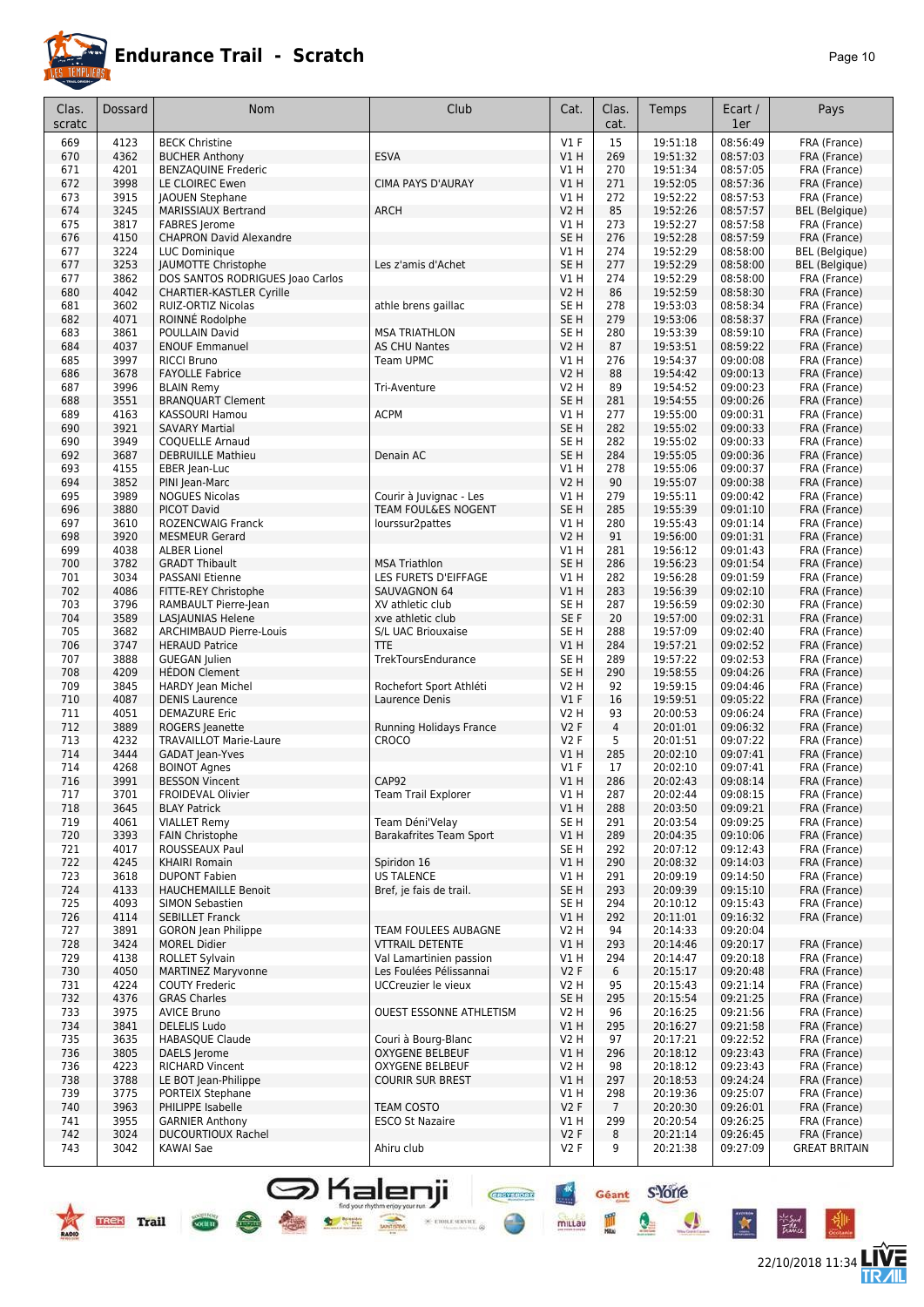

22/10/2018 11:34

**LIVE<br>TR***A***IL** 

Géant S-Yorre

Q

 $\bullet$ 

 $\star$ 

 $\frac{m}{m}$ 

**CREATED DRY** 

 $\frac{4x}{x}$ 

mittau

| Clas.      | <b>Dossard</b> | <b>Nom</b>                                           | Club                           | Cat.                    | Clas.          | Temps                | Ecart /              | Pays                                 |
|------------|----------------|------------------------------------------------------|--------------------------------|-------------------------|----------------|----------------------|----------------------|--------------------------------------|
| scratc     |                |                                                      |                                |                         | cat.           |                      | 1er                  |                                      |
| 669        | 4123           | <b>BECK Christine</b>                                |                                | $VI$ F                  | 15             | 19:51:18             | 08:56:49             | FRA (France)                         |
| 670        | 4362           | <b>BUCHER Anthony</b>                                | <b>ESVA</b>                    | V1 H                    | 269            | 19:51:32             | 08:57:03             | FRA (France)                         |
| 671<br>672 | 4201<br>3998   | <b>BENZAQUINE Frederic</b><br>LE CLOIREC Ewen        | <b>CIMA PAYS D'AURAY</b>       | V1 H<br>V1 H            | 270<br>271     | 19:51:34<br>19:52:05 | 08:57:05<br>08:57:36 | FRA (France)                         |
| 673        | 3915           | <b>JAOUEN Stephane</b>                               |                                | V1H                     | 272            | 19:52:22             | 08:57:53             | FRA (France)<br>FRA (France)         |
| 674        | 3245           | <b>MARISSIAUX Bertrand</b>                           | <b>ARCH</b>                    | V2 H                    | 85             | 19:52:26             | 08:57:57             | <b>BEL</b> (Belgique)                |
| 675        | 3817           | <b>FABRES</b> Jerome                                 |                                | V1 H                    | 273            | 19:52:27             | 08:57:58             | FRA (France)                         |
| 676        | 4150           | <b>CHAPRON David Alexandre</b>                       |                                | SE H                    | 276            | 19:52:28             | 08:57:59             | FRA (France)                         |
| 677        | 3224           | LUC Dominique                                        |                                | V1 H                    | 274            | 19:52:29             | 08:58:00             | <b>BEL</b> (Belgique)                |
| 677        | 3253           | JAUMOTTE Christophe                                  | Les z'amis d'Achet             | SE <sub>H</sub>         | 277            | 19:52:29             | 08:58:00             | <b>BEL</b> (Belgique)                |
| 677        | 3862           | DOS SANTOS RODRIGUES Joao Carlos                     |                                | V1 H                    | 274            | 19:52:29             | 08:58:00             | FRA (France)                         |
| 680        | 4042           | <b>CHARTIER-KASTLER Cyrille</b>                      |                                | V2 H                    | 86             | 19:52:59             | 08:58:30<br>08:58:34 | FRA (France)                         |
| 681<br>682 | 3602<br>4071   | RUIZ-ORTIZ Nicolas<br>ROINNÉ Rodolphe                | athle brens gaillac            | SE H<br>SE H            | 278<br>279     | 19:53:03<br>19:53:06 | 08:58:37             | FRA (France)<br>FRA (France)         |
| 683        | 3861           | POULLAIN David                                       | <b>MSA TRIATHLON</b>           | SE H                    | 280            | 19:53:39             | 08:59:10             | FRA (France)                         |
| 684        | 4037           | <b>ENOUF Emmanuel</b>                                | <b>AS CHU Nantes</b>           | <b>V2 H</b>             | 87             | 19:53:51             | 08:59:22             | FRA (France)                         |
| 685        | 3997           | <b>RICCI Bruno</b>                                   | Team UPMC                      | V1 H                    | 276            | 19:54:37             | 09:00:08             | FRA (France)                         |
| 686        | 3678           | <b>FAYOLLE Fabrice</b>                               |                                | V2 H                    | 88             | 19:54:42             | 09:00:13             | FRA (France)                         |
| 687        | 3996           | <b>BLAIN Remy</b>                                    | Tri-Aventure                   | V2 H                    | 89             | 19:54:52             | 09:00:23             | FRA (France)                         |
| 688        | 3551           | <b>BRANQUART Clement</b>                             |                                | SE <sub>H</sub>         | 281            | 19:54:55             | 09:00:26             | FRA (France)                         |
| 689        | 4163           | KASSOURI Hamou                                       | <b>ACPM</b>                    | V1 H                    | 277            | 19:55:00             | 09:00:31             | FRA (France)                         |
| 690<br>690 | 3921<br>3949   | <b>SAVARY Martial</b><br><b>COQUELLE Arnaud</b>      |                                | SE <sub>H</sub><br>SE H | 282<br>282     | 19:55:02<br>19:55:02 | 09:00:33<br>09:00:33 | FRA (France)<br>FRA (France)         |
| 692        | 3687           | <b>DEBRUILLE Mathieu</b>                             | Denain AC                      | SE <sub>H</sub>         | 284            | 19:55:05             | 09:00:36             | FRA (France)                         |
| 693        | 4155           | EBER Jean-Luc                                        |                                | V1 H                    | 278            | 19:55:06             | 09:00:37             | FRA (France)                         |
| 694        | 3852           | PINI Jean-Marc                                       |                                | V2 H                    | 90             | 19:55:07             | 09:00:38             | FRA (France)                         |
| 695        | 3989           | <b>NOGUES Nicolas</b>                                | Courir à Juvignac - Les        | V1H                     | 279            | 19:55:11             | 09:00:42             | FRA (France)                         |
| 696        | 3880           | <b>PICOT David</b>                                   | TEAM FOUL&ES NOGENT            | SE <sub>H</sub>         | 285            | 19:55:39             | 09:01:10             | FRA (France)                         |
| 697        | 3610           | <b>ROZENCWAIG Franck</b>                             | lourssur2pattes                | V1 H                    | 280            | 19:55:43             | 09:01:14             | FRA (France)                         |
| 698        | 3920           | <b>MESMEUR Gerard</b>                                |                                | V2 H                    | 91             | 19:56:00             | 09:01:31             | FRA (France)                         |
| 699<br>700 | 4038<br>3782   | <b>ALBER Lionel</b><br><b>GRADT Thibault</b>         | <b>MSA Triathlon</b>           | V1 H<br>SE <sub>H</sub> | 281<br>286     | 19:56:12<br>19:56:23 | 09:01:43<br>09:01:54 | FRA (France)<br>FRA (France)         |
| 701        | 3034           | <b>PASSANI Etienne</b>                               | LES FURETS D'EIFFAGE           | V1 H                    | 282            | 19:56:28             | 09:01:59             | FRA (France)                         |
| 702        | 4086           | FITTE-REY Christophe                                 | SAUVAGNON 64                   | V1 H                    | 283            | 19:56:39             | 09:02:10             | FRA (France)                         |
| 703        | 3796           | RAMBAULT Pierre-Jean                                 | XV athletic club               | SE H                    | 287            | 19:56:59             | 09:02:30             | FRA (France)                         |
| 704        | 3589           | <b>LASJAUNIAS Helene</b>                             | xve athletic club              | SE F                    | 20             | 19:57:00             | 09:02:31             | FRA (France)                         |
| 705        | 3682           | <b>ARCHIMBAUD Pierre-Louis</b>                       | S/L UAC Briouxaise             | SE H                    | 288            | 19:57:09             | 09:02:40             | FRA (France)                         |
| 706        | 3747           | <b>HERAUD Patrice</b>                                | <b>TTE</b>                     | V1 H                    | 284            | 19:57:21             | 09:02:52             | FRA (France)                         |
| 707        | 3888           | <b>GUEGAN Julien</b>                                 | TrekToursEndurance             | SE <sub>H</sub>         | 289            | 19:57:22             | 09:02:53             | FRA (France)                         |
| 708<br>709 | 4209<br>3845   | <b>HEDON Clement</b><br><b>HARDY</b> Jean Michel     | Rochefort Sport Athléti        | SE <sub>H</sub><br>V2 H | 290<br>92      | 19:58:55<br>19:59:15 | 09:04:26<br>09:04:46 | FRA (France)<br>FRA (France)         |
| 710        | 4087           | <b>DENIS Laurence</b>                                | Laurence Denis                 | V1F                     | 16             | 19:59:51             | 09:05:22             | FRA (France)                         |
| 711        | 4051           | <b>DEMAZURE Eric</b>                                 |                                | V2 H                    | 93             | 20:00:53             | 09:06:24             | FRA (France)                         |
| 712        | 3889           | ROGERS Jeanette                                      | Running Holidays France        | <b>V2F</b>              | $\overline{4}$ | 20:01:01             | 09:06:32             | FRA (France)                         |
| 713        | 4232           | <b>TRAVAILLOT Marie-Laure</b>                        | <b>CROCO</b>                   | V2F                     | 5              | 20:01:51             | 09:07:22             | FRA (France)                         |
| 714        | 3444           | GADAT Jean-Yves                                      |                                | V1 H                    | 285            | 20:02:10             | 09:07:41             | FRA (France)                         |
| 714        | 4268           | <b>BOINOT Agnes</b>                                  |                                | $VI$ F                  | 17             | 20:02:10             | 09:07:41             | FRA (France)                         |
| 716<br>717 | 3991<br>3701   | <b>BESSON Vincent</b><br>FROIDEVAL Olivier           | CAP92<br>Team Trail Explorer   | V1 H<br>V1 H            | 286<br>287     | 20:02:43<br>20:02:44 | 09:08:14<br>09:08:15 | FRA (France)<br>FRA (France)         |
| 718        | 3645           | <b>BLAY Patrick</b>                                  |                                | VIH                     | 288            | 20:03:50             | 09:09:21             | FRA (France)                         |
| 719        | 4061           | <b>VIALLET Remy</b>                                  | Team Déni'Velay                | SE H                    | 291            | 20:03:54             | 09:09:25             | FRA (France)                         |
| 720        | 3393           | <b>FAIN Christophe</b>                               | <b>Barakafrites Team Sport</b> | V1 H                    | 289            | 20:04:35             | 09:10:06             | FRA (France)                         |
| 721        | 4017           | ROUSSEAUX Paul                                       |                                | SE H                    | 292            | 20:07:12             | 09:12:43             | FRA (France)                         |
| 722        | 4245           | KHAIRI Romain                                        | Spiridon 16                    | VIH                     | 290            | 20:08:32             | 09:14:03             | FRA (France)                         |
| 723        | 3618           | <b>DUPONT Fabien</b>                                 | <b>US TALENCE</b>              | V1 H                    | 291            | 20:09:19             | 09:14:50             | FRA (France)                         |
| 724<br>725 | 4133<br>4093   | <b>HAUCHEMAILLE Benoit</b><br><b>SIMON Sebastien</b> | Bref, je fais de trail.        | SE H<br>SE H            | 293<br>294     | 20:09:39<br>20:10:12 | 09:15:10<br>09:15:43 | FRA (France)<br>FRA (France)         |
| 726        | 4114           | <b>SEBILLET Franck</b>                               |                                | V1 H                    | 292            | 20:11:01             | 09:16:32             | FRA (France)                         |
| 727        | 3891           | <b>GORON</b> Jean Philippe                           | TEAM FOULEES AUBAGNE           | V2 H                    | 94             | 20:14:33             | 09:20:04             |                                      |
| 728        | 3424           | <b>MOREL Didier</b>                                  | <b>VTTRAIL DETENTE</b>         | V1 H                    | 293            | 20:14:46             | 09:20:17             | FRA (France)                         |
| 729        | 4138           | <b>ROLLET Sylvain</b>                                | Val Lamartinien passion        | V1 H                    | 294            | 20:14:47             | 09:20:18             | FRA (France)                         |
| 730        | 4050           | <b>MARTINEZ Maryvonne</b>                            | Les Foulées Pélissannai        | V2F                     | 6              | 20:15:17             | 09:20:48             | FRA (France)                         |
| 731        | 4224           | <b>COUTY Frederic</b>                                | UCCreuzier le vieux            | V2 H                    | 95             | 20:15:43             | 09:21:14             | FRA (France)                         |
| 732        | 4376           | <b>GRAS Charles</b>                                  |                                | SE H                    | 295            | 20:15:54             | 09:21:25             | FRA (France)                         |
| 733<br>734 | 3975<br>3841   | <b>AVICE Bruno</b><br><b>DELELIS Ludo</b>            | OUEST ESSONNE ATHLETISM        | V2 H<br>V1 H            | 96<br>295      | 20:16:25<br>20:16:27 | 09:21:56<br>09:21:58 | FRA (France)<br>FRA (France)         |
| 735        | 3635           | <b>HABASQUE Claude</b>                               | Couri à Bourg-Blanc            | V2 H                    | 97             | 20:17:21             | 09:22:52             | FRA (France)                         |
| 736        | 3805           | DAELS Jerome                                         | <b>OXYGENE BELBEUF</b>         | VIH                     | 296            | 20:18:12             | 09:23:43             | FRA (France)                         |
| 736        | 4223           | <b>RICHARD Vincent</b>                               | <b>OXYGENE BELBEUF</b>         | V2 H                    | 98             | 20:18:12             | 09:23:43             | FRA (France)                         |
| 738        | 3788           | LE BOT Jean-Philippe                                 | <b>COURIR SUR BREST</b>        | V1H                     | 297            | 20:18:53             | 09:24:24             | FRA (France)                         |
| 739        | 3775           | PORTEIX Stephane                                     |                                | V1 H                    | 298            | 20:19:36             | 09:25:07             | FRA (France)                         |
| 740        | 3963           | PHILIPPE Isabelle                                    | <b>TEAM COSTO</b>              | V2F                     | $\overline{7}$ | 20:20:30             | 09:26:01             | FRA (France)                         |
| 741        | 3955           | <b>GARNIER Anthony</b>                               | <b>ESCO St Nazaire</b>         | V1 H                    | 299            | 20:20:54             | 09:26:25             | FRA (France)                         |
| 742<br>743 | 3024<br>3042   | <b>DUCOURTIOUX Rachel</b><br>KAWAI Sae               | Ahiru club                     | V2F<br>V2 F             | 8<br>9         | 20:21:14<br>20:21:38 | 09:26:45<br>09:27:09 | FRA (France)<br><b>GREAT BRITAIN</b> |
|            |                |                                                      |                                |                         |                |                      |                      |                                      |

**S** Kalenji

 $\bullet$ 

 $\frac{1}{\sqrt{1-\frac{1}{2}}\sqrt{1-\frac{1}{2}}\sqrt{1-\frac{1}{2}}\sqrt{1-\frac{1}{2}}\sqrt{1-\frac{1}{2}}\sqrt{1-\frac{1}{2}}\sqrt{1-\frac{1}{2}}\sqrt{1-\frac{1}{2}}\sqrt{1-\frac{1}{2}}\sqrt{1-\frac{1}{2}}\sqrt{1-\frac{1}{2}}\sqrt{1-\frac{1}{2}}\sqrt{1-\frac{1}{2}}\sqrt{1-\frac{1}{2}}\sqrt{1-\frac{1}{2}}\sqrt{1-\frac{1}{2}}\sqrt{1-\frac{1}{2}}\sqrt{1-\frac{1}{2}}\sqrt{1-\frac{1}{2}}\sqrt{1-\frac$ 

 $\times$  error service.  $\otimes$ 

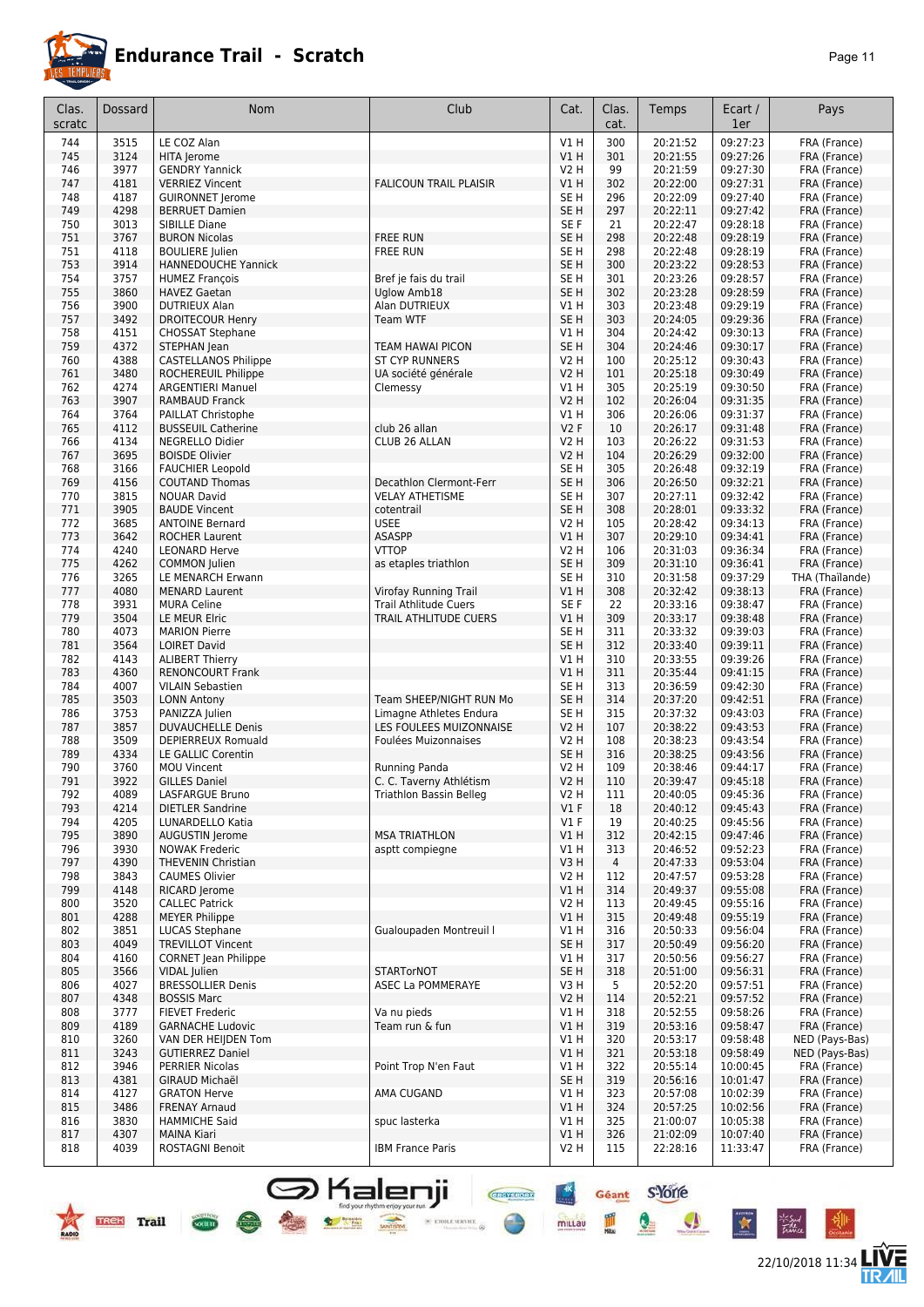

22/10/2018 11:34 **LIVE** 

Géant S'Yorre

 $\bullet$ 

 $\bullet$ 

 $\star$ 

皿

 $m$ ittav

**CHAPTERS** 

 $\times$  etree server  $\otimes$ 

| Clas.<br>scratc | <b>Dossard</b> | Nom                                                | Club                                               | Cat.                               | Clas.<br>cat.  | Temps                | Ecart /<br>1er       | Pays                            |
|-----------------|----------------|----------------------------------------------------|----------------------------------------------------|------------------------------------|----------------|----------------------|----------------------|---------------------------------|
| 744             | 3515           | LE COZ Alan                                        |                                                    | V1H                                | 300            | 20:21:52             | 09:27:23             | FRA (France)                    |
| 745             | 3124           | HITA Jerome                                        |                                                    | VIH                                | 301            | 20:21:55             | 09:27:26             | FRA (France)                    |
| 746             | 3977           | <b>GENDRY Yannick</b>                              |                                                    | <b>V2 H</b>                        | 99             | 20:21:59             | 09:27:30             | FRA (France)                    |
| 747             | 4181           | <b>VERRIEZ Vincent</b>                             | <b>FALICOUN TRAIL PLAISIR</b>                      | V1H                                | 302            | 20:22:00             | 09:27:31             | FRA (France)                    |
| 748<br>749      | 4187<br>4298   | <b>GUIRONNET Jerome</b><br><b>BERRUET Damien</b>   |                                                    | SE <sub>H</sub><br>SE <sub>H</sub> | 296            | 20:22:09             | 09:27:40<br>09:27:42 | FRA (France)                    |
| 750             | 3013           | SIBILLE Diane                                      |                                                    | SE F                               | 297<br>21      | 20:22:11<br>20:22:47 | 09:28:18             | FRA (France)<br>FRA (France)    |
| 751             | 3767           | <b>BURON Nicolas</b>                               | <b>FREE RUN</b>                                    | SE <sub>H</sub>                    | 298            | 20:22:48             | 09:28:19             | FRA (France)                    |
| 751             | 4118           | <b>BOULIERE</b> Julien                             | <b>FREE RUN</b>                                    | SE H                               | 298            | 20:22:48             | 09:28:19             | FRA (France)                    |
| 753             | 3914           | <b>HANNEDOUCHE Yannick</b>                         |                                                    | SE <sub>H</sub>                    | 300            | 20:23:22             | 09:28:53             | FRA (France)                    |
| 754             | 3757           | <b>HUMEZ François</b>                              | Bref je fais du trail                              | SE H                               | 301            | 20:23:26             | 09:28:57             | FRA (France)                    |
| 755             | 3860           | <b>HAVEZ Gaetan</b>                                | Uglow Amb18                                        | SE <sub>H</sub>                    | 302            | 20:23:28             | 09:28:59             | FRA (France)                    |
| 756<br>757      | 3900<br>3492   | <b>DUTRIEUX Alan</b><br><b>DROITECOUR Henry</b>    | Alan DUTRIEUX<br>Team WTF                          | V1 H<br>SE <sub>H</sub>            | 303<br>303     | 20:23:48<br>20:24:05 | 09:29:19<br>09:29:36 | FRA (France)<br>FRA (France)    |
| 758             | 4151           | <b>CHOSSAT Stephane</b>                            |                                                    | V1 H                               | 304            | 20:24:42             | 09:30:13             | FRA (France)                    |
| 759             | 4372           | STEPHAN Jean                                       | <b>TEAM HAWAI PICON</b>                            | SE <sub>H</sub>                    | 304            | 20:24:46             | 09:30:17             | FRA (France)                    |
| 760             | 4388           | <b>CASTELLANOS Philippe</b>                        | <b>ST CYP RUNNERS</b>                              | V2 H                               | 100            | 20:25:12             | 09:30:43             | FRA (France)                    |
| 761             | 3480           | ROCHEREUIL Philippe                                | UA société générale                                | V2 H                               | 101            | 20:25:18             | 09:30:49             | FRA (France)                    |
| 762             | 4274           | <b>ARGENTIERI Manuel</b>                           | Clemessy                                           | V1 H                               | 305            | 20:25:19             | 09:30:50             | FRA (France)                    |
| 763             | 3907           | <b>RAMBAUD Franck</b>                              |                                                    | V2 H                               | 102            | 20:26:04             | 09:31:35             | FRA (France)                    |
| 764             | 3764           | PAILLAT Christophe                                 |                                                    | V1 H                               | 306            | 20:26:06             | 09:31:37             | FRA (France)                    |
| 765<br>766      | 4112<br>4134   | <b>BUSSEUIL Catherine</b><br>NEGRELLO Didier       | club 26 allan<br>CLUB 26 ALLAN                     | <b>V2F</b><br>V2 H                 | 10<br>103      | 20:26:17<br>20:26:22 | 09:31:48<br>09:31:53 | FRA (France)<br>FRA (France)    |
| 767             | 3695           | <b>BOISDE Olivier</b>                              |                                                    | V2 H                               | 104            | 20:26:29             | 09:32:00             | FRA (France)                    |
| 768             | 3166           | <b>FAUCHIER Leopold</b>                            |                                                    | SE <sub>H</sub>                    | 305            | 20:26:48             | 09:32:19             | FRA (France)                    |
| 769             | 4156           | <b>COUTAND Thomas</b>                              | Decathlon Clermont-Ferr                            | SE <sub>H</sub>                    | 306            | 20:26:50             | 09:32:21             | FRA (France)                    |
| 770             | 3815           | <b>NOUAR David</b>                                 | <b>VELAY ATHETISME</b>                             | SE H                               | 307            | 20:27:11             | 09:32:42             | FRA (France)                    |
| 771             | 3905           | <b>BAUDE Vincent</b>                               | cotentrail                                         | SE <sub>H</sub>                    | 308            | 20:28:01             | 09:33:32             | FRA (France)                    |
| 772             | 3685           | <b>ANTOINE Bernard</b>                             | <b>USEE</b>                                        | V2 H                               | 105            | 20:28:42             | 09:34:13             | FRA (France)                    |
| 773             | 3642           | <b>ROCHER Laurent</b>                              | ASASPP                                             | VIH                                | 307            | 20:29:10             | 09:34:41             | FRA (France)                    |
| 774             | 4240<br>4262   | <b>LEONARD Herve</b>                               | <b>VTTOP</b>                                       | <b>V2 H</b><br>SE <sub>H</sub>     | 106<br>309     | 20:31:03             | 09:36:34             | FRA (France)                    |
| 775<br>776      | 3265           | <b>COMMON</b> Julien<br>LE MENARCH Erwann          | as etaples triathlon                               | SE H                               | 310            | 20:31:10<br>20:31:58 | 09:36:41<br>09:37:29 | FRA (France)<br>THA (Thaïlande) |
| 777             | 4080           | <b>MENARD Laurent</b>                              | Virofay Running Trail                              | V1 H                               | 308            | 20:32:42             | 09:38:13             | FRA (France)                    |
| 778             | 3931           | <b>MURA Celine</b>                                 | <b>Trail Athlitude Cuers</b>                       | SE F                               | 22             | 20:33:16             | 09:38:47             | FRA (France)                    |
| 779             | 3504           | LE MEUR Elric                                      | TRAIL ATHLITUDE CUERS                              | VIH                                | 309            | 20:33:17             | 09:38:48             | FRA (France)                    |
| 780             | 4073           | <b>MARION Pierre</b>                               |                                                    | SE H                               | 311            | 20:33:32             | 09:39:03             | FRA (France)                    |
| 781             | 3564           | <b>LOIRET David</b>                                |                                                    | SE <sub>H</sub>                    | 312            | 20:33:40             | 09:39:11             | FRA (France)                    |
| 782             | 4143           | <b>ALIBERT Thierry</b>                             |                                                    | V1 H                               | 310            | 20:33:55             | 09:39:26             | FRA (France)                    |
| 783<br>784      | 4360<br>4007   | <b>RENONCOURT Frank</b><br><b>VILAIN Sebastien</b> |                                                    | V1 H<br>SE H                       | 311<br>313     | 20:35:44<br>20:36:59 | 09:41:15<br>09:42:30 | FRA (France)<br>FRA (France)    |
| 785             | 3503           | <b>LONN Antony</b>                                 | Team SHEEP/NIGHT RUN Mo                            | SE <sub>H</sub>                    | 314            | 20:37:20             | 09:42:51             | FRA (France)                    |
| 786             | 3753           | PANIZZA Julien                                     | Limagne Athletes Endura                            | SE H                               | 315            | 20:37:32             | 09:43:03             | FRA (France)                    |
| 787             | 3857           | <b>DUVAUCHELLE Denis</b>                           | LES FOULEES MUIZONNAISE                            | V2 H                               | 107            | 20:38:22             | 09:43:53             | FRA (France)                    |
| 788             | 3509           | DEPIERREUX Romuald                                 | Foulées Muizonnaises                               | V2 H                               | 108            | 20:38:23             | 09:43:54             | FRA (France)                    |
| 789             | 4334           | LE GALLIC Corentin                                 |                                                    | SE <sub>H</sub>                    | 316            | 20:38:25             | 09:43:56             | FRA (France)                    |
| 790             | 3760           | <b>MOU Vincent</b>                                 | Running Panda                                      | V2 H                               | 109            | 20:38:46             | 09:44:17             | FRA (France)                    |
| 791<br>792      | 3922<br>4089   | <b>GILLES Daniel</b><br>LASFARGUE Bruno            | C. C. Taverny Athlétism<br>Triathlon Bassin Belleg | <b>V2 H</b><br>V <sub>2</sub> H    | 110<br>111     | 20:39:47<br>20:40:05 | 09:45:18<br>09:45:36 | FRA (France)<br>FRA (France)    |
| 793             | 4214           | <b>DIETLER Sandrine</b>                            |                                                    | $VI$ F                             | 18             | 20:40:12             | 09:45:43             | FRA (France)                    |
| 794             | 4205           | LUNARDELLO Katia                                   |                                                    | $VI$ F                             | 19             | 20:40:25             | 09:45:56             | FRA (France)                    |
| 795             | 3890           | <b>AUGUSTIN Jerome</b>                             | <b>MSA TRIATHLON</b>                               | V1 H                               | 312            | 20:42:15             | 09:47:46             | FRA (France)                    |
| 796             | 3930           | <b>NOWAK Frederic</b>                              | asptt compiegne                                    | V1 H                               | 313            | 20:46:52             | 09:52:23             | FRA (France)                    |
| 797             | 4390           | THEVENIN Christian                                 |                                                    | V3H                                | $\overline{4}$ | 20:47:33             | 09:53:04             | FRA (France)                    |
| 798             | 3843           | <b>CAUMES Olivier</b>                              |                                                    | V2 H                               | 112            | 20:47:57             | 09:53:28             | FRA (France)                    |
| 799<br>800      | 4148<br>3520   | RICARD Jerome<br><b>CALLEC Patrick</b>             |                                                    | V1H<br>V2 H                        | 314<br>113     | 20:49:37<br>20:49:45 | 09:55:08<br>09:55:16 | FRA (France)<br>FRA (France)    |
| 801             | 4288           | <b>MEYER Philippe</b>                              |                                                    | V1H                                | 315            | 20:49:48             | 09:55:19             | FRA (France)                    |
| 802             | 3851           | <b>LUCAS Stephane</b>                              | Gualoupaden Montreuil I                            | V1 H                               | 316            | 20:50:33             | 09:56:04             | FRA (France)                    |
| 803             | 4049           | <b>TREVILLOT Vincent</b>                           |                                                    | SE <sub>H</sub>                    | 317            | 20:50:49             | 09:56:20             | FRA (France)                    |
| 804             | 4160           | <b>CORNET</b> Jean Philippe                        |                                                    | V1 H                               | 317            | 20:50:56             | 09:56:27             | FRA (France)                    |
| 805             | 3566           | VIDAL Julien                                       | <b>STARTorNOT</b>                                  | SE H                               | 318            | 20:51:00             | 09:56:31             | FRA (France)                    |
| 806             | 4027           | <b>BRESSOLLIER Denis</b>                           | ASEC La POMMERAYE                                  | V3H                                | 5              | 20:52:20             | 09:57:51             | FRA (France)                    |
| 807<br>808      | 4348<br>3777   | <b>BOSSIS Marc</b>                                 | Va nu pieds                                        | <b>V2 H</b>                        | 114<br>318     | 20:52:21<br>20:52:55 | 09:57:52<br>09:58:26 | FRA (France)                    |
| 809             | 4189           | <b>FIEVET Frederic</b><br><b>GARNACHE Ludovic</b>  | Team run & fun                                     | V1 H<br>V1H                        | 319            | 20:53:16             | 09:58:47             | FRA (France)<br>FRA (France)    |
| 810             | 3260           | VAN DER HEIJDEN Tom                                |                                                    | V1 H                               | 320            | 20:53:17             | 09:58:48             | NED (Pays-Bas)                  |
| 811             | 3243           | <b>GUTIERREZ Daniel</b>                            |                                                    | V1H                                | 321            | 20:53:18             | 09:58:49             | NED (Pays-Bas)                  |
| 812             | 3946           | <b>PERRIER Nicolas</b>                             | Point Trop N'en Faut                               | V1 H                               | 322            | 20:55:14             | 10:00:45             | FRA (France)                    |
| 813             | 4381           | GIRAUD Michaël                                     |                                                    | SE <sub>H</sub>                    | 319            | 20:56:16             | 10:01:47             | FRA (France)                    |
| 814             | 4127           | <b>GRATON Herve</b>                                | AMA CUGAND                                         | V1 H                               | 323            | 20:57:08             | 10:02:39             | FRA (France)                    |
| 815             | 3486           | <b>FRENAY Arnaud</b>                               |                                                    | V1H                                | 324            | 20:57:25             | 10:02:56             | FRA (France)                    |
| 816<br>817      | 3830<br>4307   | <b>HAMMICHE Said</b><br><b>MAINA Kiari</b>         | spuc lasterka                                      | V1 H<br>V1H                        | 325<br>326     | 21:00:07<br>21:02:09 | 10:05:38<br>10:07:40 | FRA (France)<br>FRA (France)    |
| 818             | 4039           | ROSTAGNI Benoit                                    | <b>IBM France Paris</b>                            | V2 H                               | 115            | 22:28:16             | 11:33:47             | FRA (France)                    |
|                 |                |                                                    |                                                    |                                    |                |                      |                      |                                 |

S Kalenji

**But the control of the control of the control of the control of the control of the control of the control of the control of the control of the control of the control of the control of the control of the control of the con** 

**PASS** 

**COCHETE**